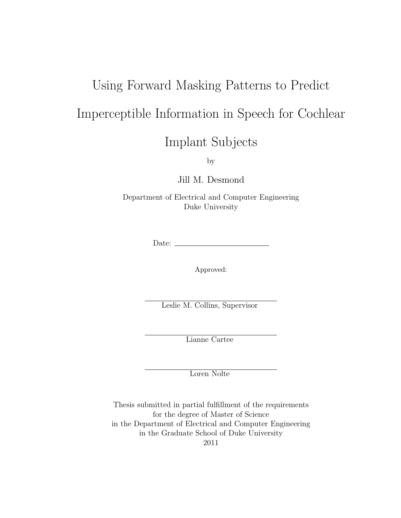# Using Forward Masking Patterns to Predict Imperceptible Information in Speech for Cochlear

Implant Subjects

by

Jill M. Desmond

Department of Electrical and Computer Engineering Duke University

Date:

Approved:

Leslie M. Collins, Supervisor

Lianne Cartee

Loren Nolte

Thesis submitted in partial fulfillment of the requirements for the degree of Master of Science in the Department of Electrical and Computer Engineering in the Graduate School of Duke University 2011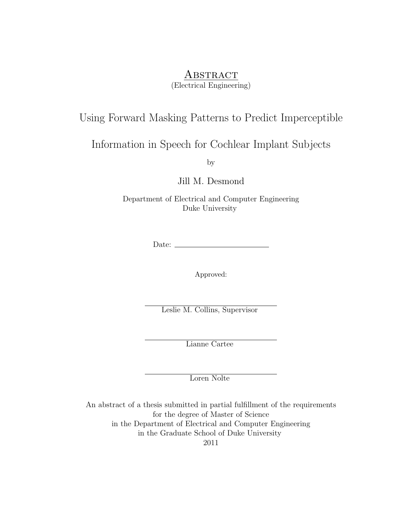### **ABSTRACT**

(Electrical Engineering)

### Using Forward Masking Patterns to Predict Imperceptible

### Information in Speech for Cochlear Implant Subjects

by

Jill M. Desmond

Department of Electrical and Computer Engineering Duke University

Date:  $\_\_$ 

Approved:

Leslie M. Collins, Supervisor

Lianne Cartee

Loren Nolte

An abstract of a thesis submitted in partial fulfillment of the requirements for the degree of Master of Science in the Department of Electrical and Computer Engineering in the Graduate School of Duke University 2011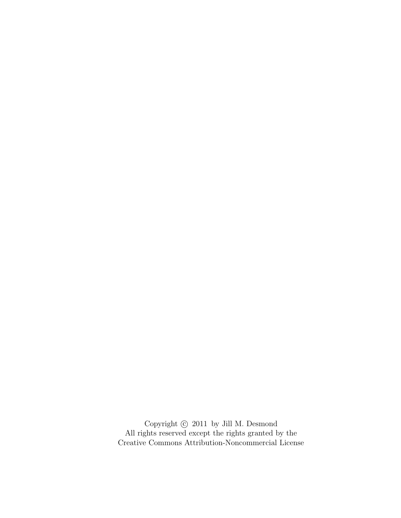Copyright  $\odot$  2011 by Jill M. Desmond All rights reserved except the rights granted by the [Creative Commons Attribution-Noncommercial License](http://creativecommons.org/licenses/by-nc/3.0/us/)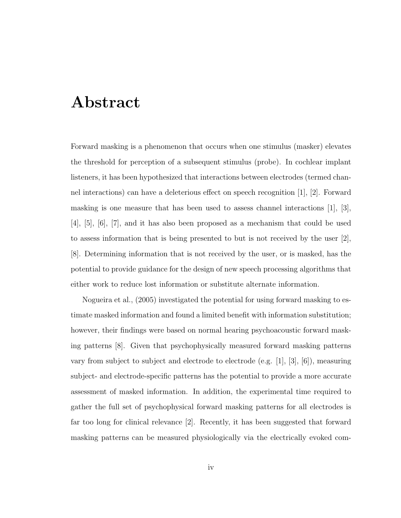## <span id="page-3-0"></span>Abstract

Forward masking is a phenomenon that occurs when one stimulus (masker) elevates the threshold for perception of a subsequent stimulus (probe). In cochlear implant listeners, it has been hypothesized that interactions between electrodes (termed channel interactions) can have a deleterious effect on speech recognition [\[1\]](#page-72-0), [\[2\]](#page-72-1). Forward masking is one measure that has been used to assess channel interactions [\[1\]](#page-72-0), [\[3\]](#page-72-2), [\[4\]](#page-72-3), [\[5\]](#page-72-4), [\[6\]](#page-72-5), [\[7\]](#page-72-6), and it has also been proposed as a mechanism that could be used to assess information that is being presented to but is not received by the user [\[2\]](#page-72-1), [\[8\]](#page-72-7). Determining information that is not received by the user, or is masked, has the potential to provide guidance for the design of new speech processing algorithms that either work to reduce lost information or substitute alternate information.

Nogueira et al., (2005) investigated the potential for using forward masking to estimate masked information and found a limited benefit with information substitution; however, their findings were based on normal hearing psychoacoustic forward masking patterns [\[8\]](#page-72-7). Given that psychophysically measured forward masking patterns vary from subject to subject and electrode to electrode (e.g. [\[1\]](#page-72-0), [\[3\]](#page-72-2), [\[6\]](#page-72-5)), measuring subject- and electrode-specific patterns has the potential to provide a more accurate assessment of masked information. In addition, the experimental time required to gather the full set of psychophysical forward masking patterns for all electrodes is far too long for clinical relevance [\[2\]](#page-72-1). Recently, it has been suggested that forward masking patterns can be measured physiologically via the electrically evoked com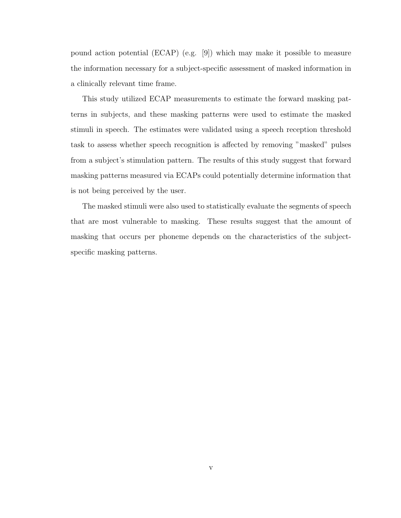pound action potential (ECAP) (e.g. [\[9\]](#page-72-8)) which may make it possible to measure the information necessary for a subject-specific assessment of masked information in a clinically relevant time frame.

This study utilized ECAP measurements to estimate the forward masking patterns in subjects, and these masking patterns were used to estimate the masked stimuli in speech. The estimates were validated using a speech reception threshold task to assess whether speech recognition is affected by removing "masked" pulses from a subject's stimulation pattern. The results of this study suggest that forward masking patterns measured via ECAPs could potentially determine information that is not being perceived by the user.

The masked stimuli were also used to statistically evaluate the segments of speech that are most vulnerable to masking. These results suggest that the amount of masking that occurs per phoneme depends on the characteristics of the subjectspecific masking patterns.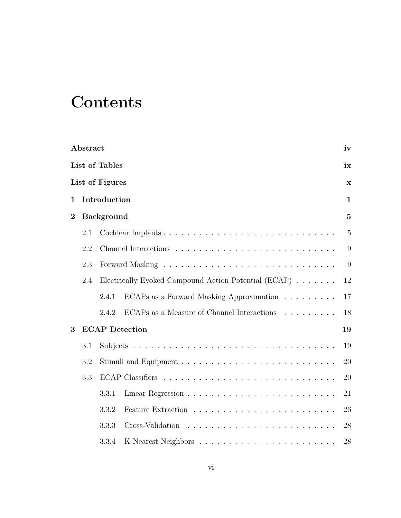## **Contents**

|                | Abstract        |                   |                                                      | iv             |  |  |  |  |  |  |
|----------------|-----------------|-------------------|------------------------------------------------------|----------------|--|--|--|--|--|--|
|                |                 | List of Tables    |                                                      | ix             |  |  |  |  |  |  |
|                | List of Figures |                   |                                                      |                |  |  |  |  |  |  |
| $\mathbf 1$    | Introduction    |                   |                                                      |                |  |  |  |  |  |  |
| $\overline{2}$ |                 | <b>Background</b> |                                                      | $\overline{5}$ |  |  |  |  |  |  |
|                | 2.1             |                   |                                                      | $\overline{5}$ |  |  |  |  |  |  |
|                | 2.2             |                   |                                                      | 9              |  |  |  |  |  |  |
|                | 2.3             |                   |                                                      | 9              |  |  |  |  |  |  |
|                | 2.4             |                   | Electrically Evoked Compound Action Potential (ECAP) | 12             |  |  |  |  |  |  |
|                |                 | 2.4.1             | ECAPs as a Forward Masking Approximation             | 17             |  |  |  |  |  |  |
|                |                 | 2.4.2             | ECAPs as a Measure of Channel Interactions           | 18             |  |  |  |  |  |  |
| 3              |                 |                   | <b>ECAP</b> Detection                                | 19             |  |  |  |  |  |  |
|                | 3.1             |                   |                                                      | 19             |  |  |  |  |  |  |
|                | 3.2             |                   |                                                      | 20             |  |  |  |  |  |  |
|                | 3.3             |                   |                                                      | 20             |  |  |  |  |  |  |
|                |                 | 3.3.1             |                                                      | 21             |  |  |  |  |  |  |
|                |                 | 3.3.2             |                                                      | 26             |  |  |  |  |  |  |
|                |                 | 3.3.3             |                                                      | 28             |  |  |  |  |  |  |
|                |                 | 3.3.4             |                                                      | 28             |  |  |  |  |  |  |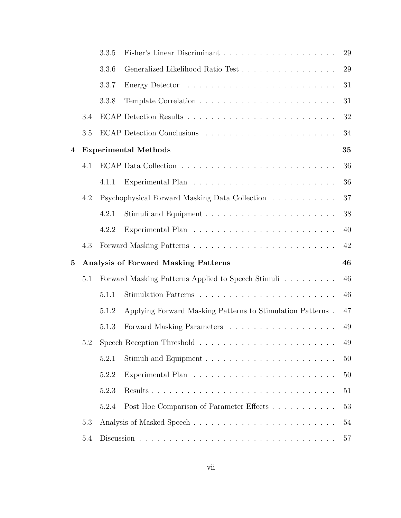|                         |     | 3.3.5 |                                                            | 29 |
|-------------------------|-----|-------|------------------------------------------------------------|----|
|                         |     | 3.3.6 | Generalized Likelihood Ratio Test                          | 29 |
|                         |     | 3.3.7 |                                                            | 31 |
|                         |     | 3.3.8 |                                                            | 31 |
|                         | 3.4 |       |                                                            | 32 |
|                         | 3.5 |       |                                                            | 34 |
| $\overline{\mathbf{4}}$ |     |       | <b>Experimental Methods</b>                                | 35 |
|                         | 4.1 |       |                                                            | 36 |
|                         |     | 4.1.1 |                                                            | 36 |
|                         | 4.2 |       | Psychophysical Forward Masking Data Collection             | 37 |
|                         |     | 4.2.1 |                                                            | 38 |
|                         |     | 4.2.2 |                                                            | 40 |
|                         | 4.3 |       |                                                            | 42 |
| $\bf{5}$                |     |       | <b>Analysis of Forward Masking Patterns</b>                | 46 |
|                         | 5.1 |       | Forward Masking Patterns Applied to Speech Stimuli         | 46 |
|                         |     | 5.1.1 |                                                            | 46 |
|                         |     | 5.1.2 | Applying Forward Masking Patterns to Stimulation Patterns. | 47 |
|                         |     | 5.1.3 |                                                            | 49 |
|                         |     |       |                                                            | 49 |
|                         |     | 5.2.1 |                                                            | 50 |
|                         |     | 5.2.2 |                                                            | 50 |
|                         |     | 5.2.3 |                                                            | 51 |
|                         |     | 5.2.4 | Post Hoc Comparison of Parameter Effects                   | 53 |
|                         | 5.3 |       |                                                            | 54 |
|                         | 5.4 |       |                                                            | 57 |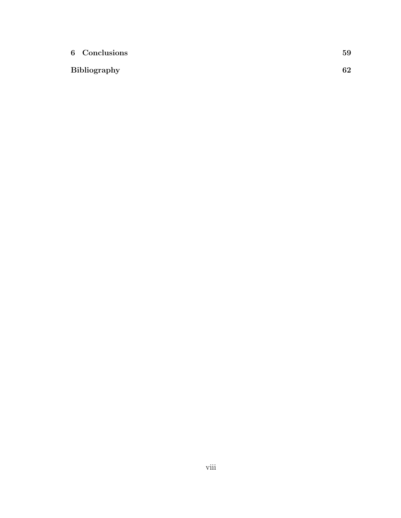| 6 Conclusions       | 59 |
|---------------------|----|
| <b>Bibliography</b> | 62 |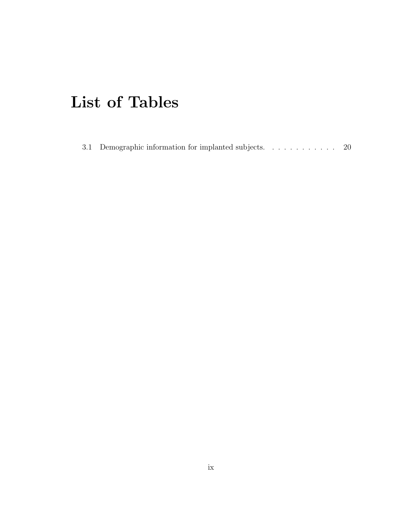## <span id="page-8-0"></span>List of Tables

|  | 3.1 Demographic information for implanted subjects |  |  |  |  |  | -20 |
|--|----------------------------------------------------|--|--|--|--|--|-----|
|  |                                                    |  |  |  |  |  |     |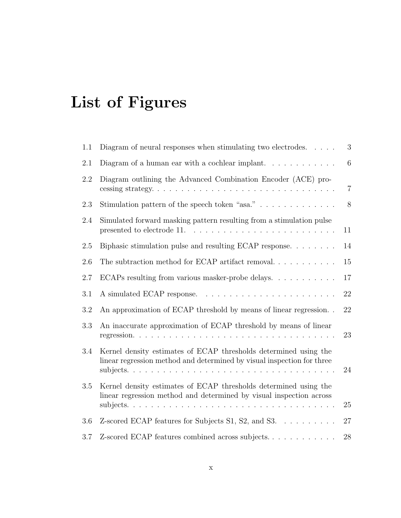# <span id="page-9-0"></span>List of Figures

| 1.1     | Diagram of neural responses when stimulating two electrodes.<br>$\sim$ $\sim$ $\sim$ $\sim$                                                | 3              |
|---------|--------------------------------------------------------------------------------------------------------------------------------------------|----------------|
| 2.1     | Diagram of a human ear with a cochlear implant. $\ldots \ldots \ldots$                                                                     | 6              |
| 2.2     | Diagram outlining the Advanced Combination Encoder (ACE) pro-                                                                              | $\overline{7}$ |
| 2.3     | Stimulation pattern of the speech token "asa." $\ldots \ldots \ldots \ldots$                                                               | $8\,$          |
| 2.4     | Simulated forward masking pattern resulting from a stimulation pulse<br>presented to electrode 11.                                         | 11             |
| $2.5\,$ | Biphasic stimulation pulse and resulting ECAP response                                                                                     | 14             |
| $2.6\,$ | The subtraction method for ECAP artifact removal. $\dots \dots \dots$                                                                      | $15\,$         |
| 2.7     | ECAPs resulting from various masker-probe delays                                                                                           | 17             |
| 3.1     | A simulated ECAP response.                                                                                                                 | 22             |
| $3.2\,$ | An approximation of ECAP threshold by means of linear regression. .                                                                        | 22             |
| 3.3     | An inaccurate approximation of ECAP threshold by means of linear                                                                           | 23             |
| 3.4     | Kernel density estimates of ECAP thresholds determined using the<br>linear regression method and determined by visual inspection for three | 24             |
| 3.5     | Kernel density estimates of ECAP thresholds determined using the<br>linear regression method and determined by visual inspection across    | 25             |
| 3.6     | Z-scored ECAP features for Subjects S1, S2, and S3.                                                                                        | 27             |
| 3.7     | Z-scored ECAP features combined across subjects                                                                                            | 28             |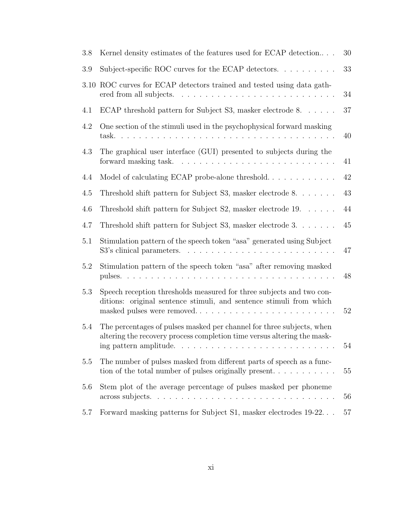| 3.8  | Kernel density estimates of the features used for ECAP detection                                                                                                           | 30 |
|------|----------------------------------------------------------------------------------------------------------------------------------------------------------------------------|----|
| 3.9  | Subject-specific ROC curves for the ECAP detectors. $\ldots \ldots \ldots$                                                                                                 | 33 |
| 3.10 | ROC curves for ECAP detectors trained and tested using data gath-<br>ered from all subjects.                                                                               | 34 |
| 4.1  | ECAP threshold pattern for Subject S3, masker electrode 8.                                                                                                                 | 37 |
| 4.2  | One section of the stimuli used in the psychophysical forward masking<br>task.                                                                                             | 40 |
| 4.3  | The graphical user interface (GUI) presented to subjects during the<br>forward masking task.                                                                               | 41 |
| 4.4  |                                                                                                                                                                            | 42 |
| 4.5  | Threshold shift pattern for Subject S3, masker electrode 8.                                                                                                                | 43 |
| 4.6  | Threshold shift pattern for Subject S2, masker electrode $19. \ldots \ldots$                                                                                               | 44 |
| 4.7  | Threshold shift pattern for Subject S3, masker electrode $3. \ldots \ldots$                                                                                                | 45 |
| 5.1  | Stimulation pattern of the speech token "asa" generated using Subject<br>S3's clinical parameters.                                                                         | 47 |
| 5.2  | Stimulation pattern of the speech token "asa" after removing masked                                                                                                        | 48 |
| 5.3  | Speech reception thresholds measured for three subjects and two con-<br>ditions: original sentence stimuli, and sentence stimuli from which<br>masked pulses were removed  | 52 |
| 5.4  | The percentages of pulses masked per channel for three subjects, when<br>altering the recovery process completion time versus altering the mask-<br>ing pattern amplitude. | 54 |
| 5.5  | The number of pulses masked from different parts of speech as a func-<br>tion of the total number of pulses originally present                                             | 55 |
| 5.6  | Stem plot of the average percentage of pulses masked per phoneme<br>across subjects                                                                                        | 56 |
| 5.7  | Forward masking patterns for Subject S1, masker electrodes 19-22.                                                                                                          | 57 |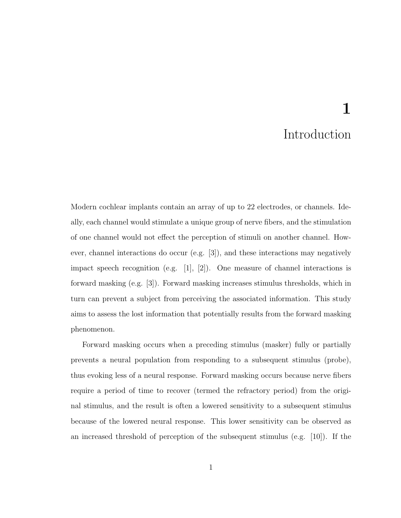## 1 Introduction

<span id="page-11-0"></span>Modern cochlear implants contain an array of up to 22 electrodes, or channels. Ideally, each channel would stimulate a unique group of nerve fibers, and the stimulation of one channel would not effect the perception of stimuli on another channel. However, channel interactions do occur (e.g. [\[3\]](#page-72-2)), and these interactions may negatively impact speech recognition (e.g. [\[1\]](#page-72-0), [\[2\]](#page-72-1)). One measure of channel interactions is forward masking (e.g. [\[3\]](#page-72-2)). Forward masking increases stimulus thresholds, which in turn can prevent a subject from perceiving the associated information. This study aims to assess the lost information that potentially results from the forward masking phenomenon.

Forward masking occurs when a preceding stimulus (masker) fully or partially prevents a neural population from responding to a subsequent stimulus (probe), thus evoking less of a neural response. Forward masking occurs because nerve fibers require a period of time to recover (termed the refractory period) from the original stimulus, and the result is often a lowered sensitivity to a subsequent stimulus because of the lowered neural response. This lower sensitivity can be observed as an increased threshold of perception of the subsequent stimulus (e.g. [\[10\]](#page-72-9)). If the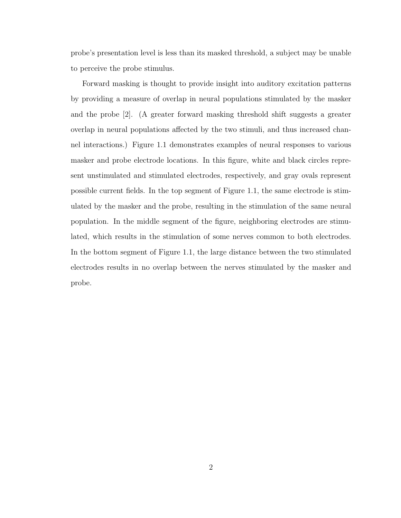probe's presentation level is less than its masked threshold, a subject may be unable to perceive the probe stimulus.

Forward masking is thought to provide insight into auditory excitation patterns by providing a measure of overlap in neural populations stimulated by the masker and the probe [\[2\]](#page-72-1). (A greater forward masking threshold shift suggests a greater overlap in neural populations affected by the two stimuli, and thus increased channel interactions.) Figure [1.1](#page-13-0) demonstrates examples of neural responses to various masker and probe electrode locations. In this figure, white and black circles represent unstimulated and stimulated electrodes, respectively, and gray ovals represent possible current fields. In the top segment of Figure [1.1,](#page-13-0) the same electrode is stimulated by the masker and the probe, resulting in the stimulation of the same neural population. In the middle segment of the figure, neighboring electrodes are stimulated, which results in the stimulation of some nerves common to both electrodes. In the bottom segment of Figure [1.1,](#page-13-0) the large distance between the two stimulated electrodes results in no overlap between the nerves stimulated by the masker and probe.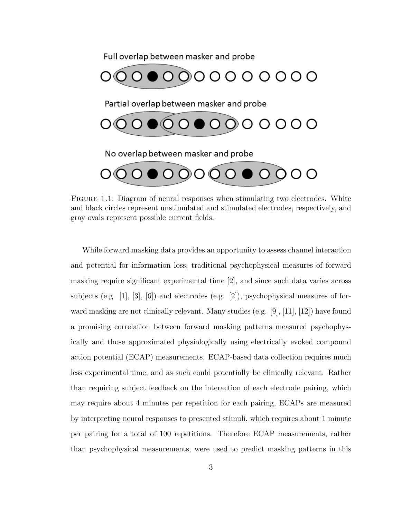Full overlap between masker and probe



<span id="page-13-0"></span>Figure 1.1: Diagram of neural responses when stimulating two electrodes. White and black circles represent unstimulated and stimulated electrodes, respectively, and gray ovals represent possible current fields.

While forward masking data provides an opportunity to assess channel interaction and potential for information loss, traditional psychophysical measures of forward masking require significant experimental time [\[2\]](#page-72-1), and since such data varies across subjects (e.g. [\[1\]](#page-72-0), [\[3\]](#page-72-2), [\[6\]](#page-72-5)) and electrodes (e.g. [\[2\]](#page-72-1)), psychophysical measures of forward masking are not clinically relevant. Many studies (e.g.  $[9], [11], [12]$  $[9], [11], [12]$  $[9], [11], [12]$  $[9], [11], [12]$  $[9], [11], [12]$ ) have found a promising correlation between forward masking patterns measured psychophysically and those approximated physiologically using electrically evoked compound action potential (ECAP) measurements. ECAP-based data collection requires much less experimental time, and as such could potentially be clinically relevant. Rather than requiring subject feedback on the interaction of each electrode pairing, which may require about 4 minutes per repetition for each pairing, ECAPs are measured by interpreting neural responses to presented stimuli, which requires about 1 minute per pairing for a total of 100 repetitions. Therefore ECAP measurements, rather than psychophysical measurements, were used to predict masking patterns in this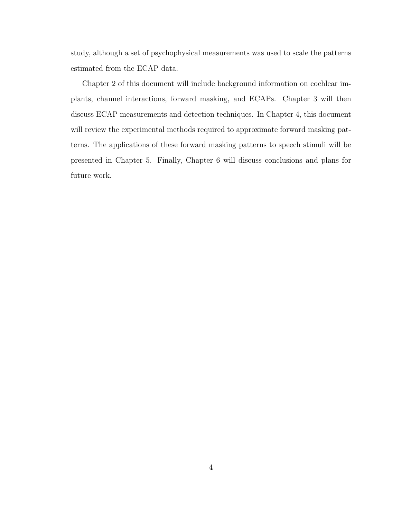study, although a set of psychophysical measurements was used to scale the patterns estimated from the ECAP data.

Chapter 2 of this document will include background information on cochlear implants, channel interactions, forward masking, and ECAPs. Chapter 3 will then discuss ECAP measurements and detection techniques. In Chapter 4, this document will review the experimental methods required to approximate forward masking patterns. The applications of these forward masking patterns to speech stimuli will be presented in Chapter 5. Finally, Chapter 6 will discuss conclusions and plans for future work.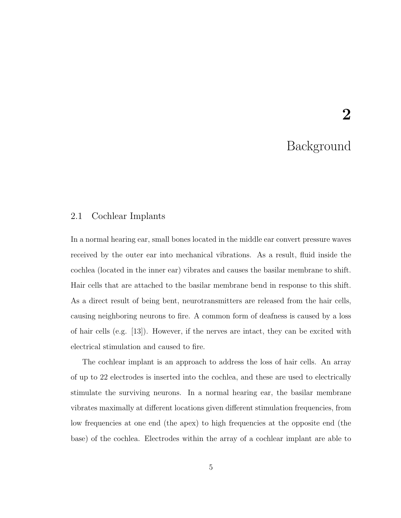## Background

2

#### <span id="page-15-1"></span><span id="page-15-0"></span>2.1 Cochlear Implants

In a normal hearing ear, small bones located in the middle ear convert pressure waves received by the outer ear into mechanical vibrations. As a result, fluid inside the cochlea (located in the inner ear) vibrates and causes the basilar membrane to shift. Hair cells that are attached to the basilar membrane bend in response to this shift. As a direct result of being bent, neurotransmitters are released from the hair cells, causing neighboring neurons to fire. A common form of deafness is caused by a loss of hair cells (e.g. [\[13\]](#page-73-2)). However, if the nerves are intact, they can be excited with electrical stimulation and caused to fire.

The cochlear implant is an approach to address the loss of hair cells. An array of up to 22 electrodes is inserted into the cochlea, and these are used to electrically stimulate the surviving neurons. In a normal hearing ear, the basilar membrane vibrates maximally at different locations given different stimulation frequencies, from low frequencies at one end (the apex) to high frequencies at the opposite end (the base) of the cochlea. Electrodes within the array of a cochlear implant are able to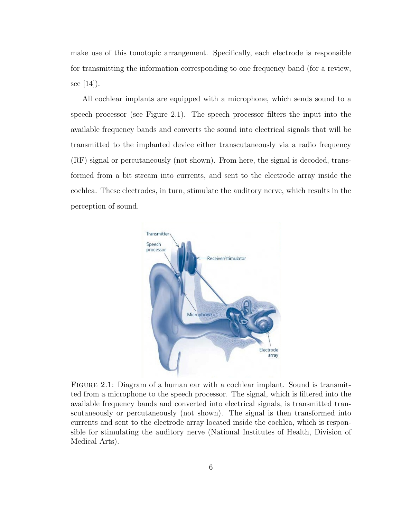make use of this tonotopic arrangement. Specifically, each electrode is responsible for transmitting the information corresponding to one frequency band (for a review, see  $|14|$ ).

All cochlear implants are equipped with a microphone, which sends sound to a speech processor (see Figure [2.1\)](#page-16-0). The speech processor filters the input into the available frequency bands and converts the sound into electrical signals that will be transmitted to the implanted device either transcutaneously via a radio frequency (RF) signal or percutaneously (not shown). From here, the signal is decoded, transformed from a bit stream into currents, and sent to the electrode array inside the cochlea. These electrodes, in turn, stimulate the auditory nerve, which results in the perception of sound.



<span id="page-16-0"></span>FIGURE 2.1: Diagram of a human ear with a cochlear implant. Sound is transmitted from a microphone to the speech processor. The signal, which is filtered into the available frequency bands and converted into electrical signals, is transmitted transcutaneously or percutaneously (not shown). The signal is then transformed into currents and sent to the electrode array located inside the cochlea, which is responsible for stimulating the auditory nerve (National Institutes of Health, Division of Medical Arts).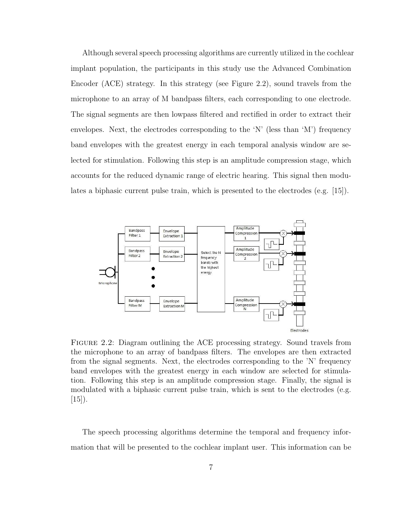Although several speech processing algorithms are currently utilized in the cochlear implant population, the participants in this study use the Advanced Combination Encoder (ACE) strategy. In this strategy (see Figure [2.2\)](#page-17-0), sound travels from the microphone to an array of M bandpass filters, each corresponding to one electrode. The signal segments are then lowpass filtered and rectified in order to extract their envelopes. Next, the electrodes corresponding to the 'N' (less than 'M') frequency band envelopes with the greatest energy in each temporal analysis window are selected for stimulation. Following this step is an amplitude compression stage, which accounts for the reduced dynamic range of electric hearing. This signal then modulates a biphasic current pulse train, which is presented to the electrodes (e.g. [\[15\]](#page-73-4)).



<span id="page-17-0"></span>Figure 2.2: Diagram outlining the ACE processing strategy. Sound travels from the microphone to an array of bandpass filters. The envelopes are then extracted from the signal segments. Next, the electrodes corresponding to the 'N' frequency band envelopes with the greatest energy in each window are selected for stimulation. Following this step is an amplitude compression stage. Finally, the signal is modulated with a biphasic current pulse train, which is sent to the electrodes (e.g.  $[15]$ ).

The speech processing algorithms determine the temporal and frequency information that will be presented to the cochlear implant user. This information can be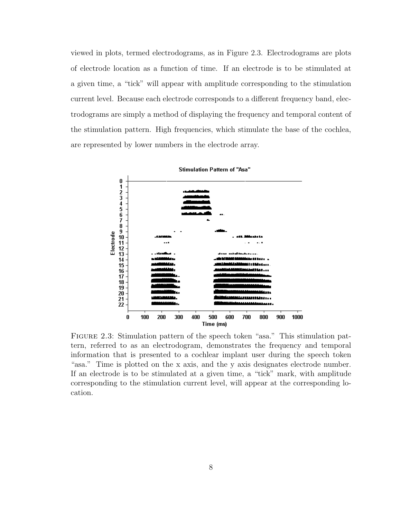viewed in plots, termed electrodograms, as in Figure [2.3.](#page-18-0) Electrodograms are plots of electrode location as a function of time. If an electrode is to be stimulated at a given time, a "tick" will appear with amplitude corresponding to the stimulation current level. Because each electrode corresponds to a different frequency band, electrodograms are simply a method of displaying the frequency and temporal content of the stimulation pattern. High frequencies, which stimulate the base of the cochlea, are represented by lower numbers in the electrode array.



**Stimulation Pattern of "Asa"** 

<span id="page-18-0"></span>FIGURE 2.3: Stimulation pattern of the speech token "asa." This stimulation pattern, referred to as an electrodogram, demonstrates the frequency and temporal information that is presented to a cochlear implant user during the speech token "asa." Time is plotted on the x axis, and the y axis designates electrode number. If an electrode is to be stimulated at a given time, a "tick" mark, with amplitude corresponding to the stimulation current level, will appear at the corresponding location.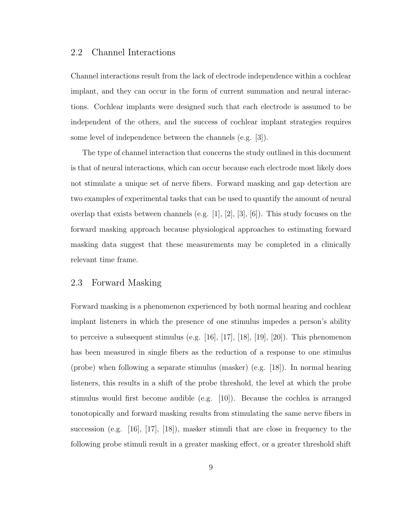#### <span id="page-19-0"></span>2.2 Channel Interactions

Channel interactions result from the lack of electrode independence within a cochlear implant, and they can occur in the form of current summation and neural interactions. Cochlear implants were designed such that each electrode is assumed to be independent of the others, and the success of cochlear implant strategies requires some level of independence between the channels (e.g. [\[3\]](#page-72-2)).

The type of channel interaction that concerns the study outlined in this document is that of neural interactions, which can occur because each electrode most likely does not stimulate a unique set of nerve fibers. Forward masking and gap detection are two examples of experimental tasks that can be used to quantify the amount of neural overlap that exists between channels (e.g. [\[1\]](#page-72-0), [\[2\]](#page-72-1), [\[3\]](#page-72-2), [\[6\]](#page-72-5)). This study focuses on the forward masking approach because physiological approaches to estimating forward masking data suggest that these measurements may be completed in a clinically relevant time frame.

#### <span id="page-19-1"></span>2.3 Forward Masking

Forward masking is a phenomenon experienced by both normal hearing and cochlear implant listeners in which the presence of one stimulus impedes a person's ability to perceive a subsequent stimulus (e.g. [\[16\]](#page-73-5), [\[17\]](#page-73-6), [\[18\]](#page-73-7), [\[19\]](#page-73-8), [\[20\]](#page-73-9)). This phenomenon has been measured in single fibers as the reduction of a response to one stimulus (probe) when following a separate stimulus (masker) (e.g. [\[18\]](#page-73-7)). In normal hearing listeners, this results in a shift of the probe threshold, the level at which the probe stimulus would first become audible (e.g. [\[10\]](#page-72-9)). Because the cochlea is arranged tonotopically and forward masking results from stimulating the same nerve fibers in succession (e.g. [\[16\]](#page-73-5), [\[17\]](#page-73-6), [\[18\]](#page-73-7)), masker stimuli that are close in frequency to the following probe stimuli result in a greater masking effect, or a greater threshold shift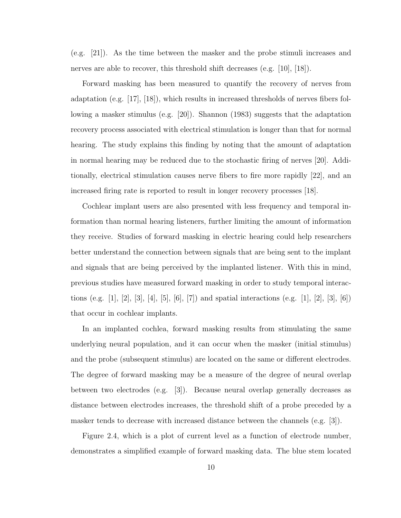(e.g. [\[21\]](#page-73-10)). As the time between the masker and the probe stimuli increases and nerves are able to recover, this threshold shift decreases (e.g. [\[10\]](#page-72-9), [\[18\]](#page-73-7)).

Forward masking has been measured to quantify the recovery of nerves from adaptation (e.g. [\[17\]](#page-73-6), [\[18\]](#page-73-7)), which results in increased thresholds of nerves fibers following a masker stimulus (e.g. [\[20\]](#page-73-9)). Shannon (1983) suggests that the adaptation recovery process associated with electrical stimulation is longer than that for normal hearing. The study explains this finding by noting that the amount of adaptation in normal hearing may be reduced due to the stochastic firing of nerves [\[20\]](#page-73-9). Additionally, electrical stimulation causes nerve fibers to fire more rapidly [\[22\]](#page-73-11), and an increased firing rate is reported to result in longer recovery processes [\[18\]](#page-73-7).

Cochlear implant users are also presented with less frequency and temporal information than normal hearing listeners, further limiting the amount of information they receive. Studies of forward masking in electric hearing could help researchers better understand the connection between signals that are being sent to the implant and signals that are being perceived by the implanted listener. With this in mind, previous studies have measured forward masking in order to study temporal interac-tions (e.g. [\[1\]](#page-72-0), [\[2\]](#page-72-1), [\[3\]](#page-72-2), [\[4\]](#page-72-3), [\[5\]](#page-72-4), [\[6\]](#page-72-5), [\[7\]](#page-72-6)) and spatial interactions (e.g. [1], [2], [3], [6]) that occur in cochlear implants.

In an implanted cochlea, forward masking results from stimulating the same underlying neural population, and it can occur when the masker (initial stimulus) and the probe (subsequent stimulus) are located on the same or different electrodes. The degree of forward masking may be a measure of the degree of neural overlap between two electrodes (e.g. [\[3\]](#page-72-2)). Because neural overlap generally decreases as distance between electrodes increases, the threshold shift of a probe preceded by a masker tends to decrease with increased distance between the channels (e.g. [\[3\]](#page-72-2)).

Figure [2.4,](#page-21-0) which is a plot of current level as a function of electrode number, demonstrates a simplified example of forward masking data. The blue stem located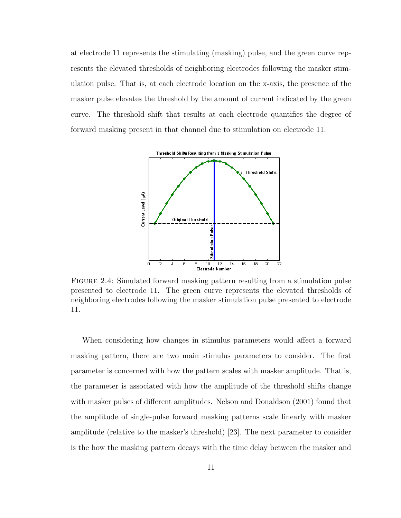at electrode 11 represents the stimulating (masking) pulse, and the green curve represents the elevated thresholds of neighboring electrodes following the masker stimulation pulse. That is, at each electrode location on the x-axis, the presence of the masker pulse elevates the threshold by the amount of current indicated by the green curve. The threshold shift that results at each electrode quantifies the degree of forward masking present in that channel due to stimulation on electrode 11.



<span id="page-21-0"></span>Figure 2.4: Simulated forward masking pattern resulting from a stimulation pulse presented to electrode 11. The green curve represents the elevated thresholds of neighboring electrodes following the masker stimulation pulse presented to electrode 11.

When considering how changes in stimulus parameters would affect a forward masking pattern, there are two main stimulus parameters to consider. The first parameter is concerned with how the pattern scales with masker amplitude. That is, the parameter is associated with how the amplitude of the threshold shifts change with masker pulses of different amplitudes. Nelson and Donaldson (2001) found that the amplitude of single-pulse forward masking patterns scale linearly with masker amplitude (relative to the masker's threshold) [\[23\]](#page-73-12). The next parameter to consider is the how the masking pattern decays with the time delay between the masker and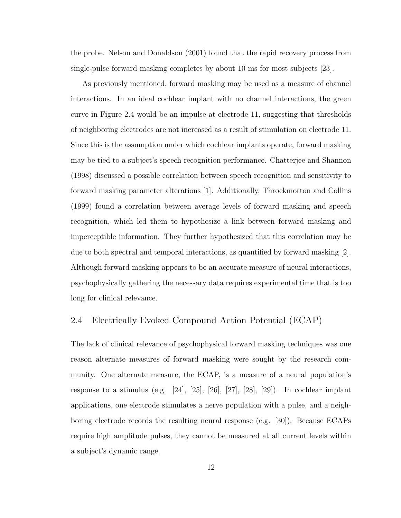the probe. Nelson and Donaldson (2001) found that the rapid recovery process from single-pulse forward masking completes by about 10 ms for most subjects [\[23\]](#page-73-12).

As previously mentioned, forward masking may be used as a measure of channel interactions. In an ideal cochlear implant with no channel interactions, the green curve in Figure [2.4](#page-21-0) would be an impulse at electrode 11, suggesting that thresholds of neighboring electrodes are not increased as a result of stimulation on electrode 11. Since this is the assumption under which cochlear implants operate, forward masking may be tied to a subject's speech recognition performance. Chatterjee and Shannon (1998) discussed a possible correlation between speech recognition and sensitivity to forward masking parameter alterations [\[1\]](#page-72-0). Additionally, Throckmorton and Collins (1999) found a correlation between average levels of forward masking and speech recognition, which led them to hypothesize a link between forward masking and imperceptible information. They further hypothesized that this correlation may be due to both spectral and temporal interactions, as quantified by forward masking [\[2\]](#page-72-1). Although forward masking appears to be an accurate measure of neural interactions, psychophysically gathering the necessary data requires experimental time that is too long for clinical relevance.

#### <span id="page-22-0"></span>2.4 Electrically Evoked Compound Action Potential (ECAP)

The lack of clinical relevance of psychophysical forward masking techniques was one reason alternate measures of forward masking were sought by the research community. One alternate measure, the ECAP, is a measure of a neural population's response to a stimulus (e.g. [\[24\]](#page-73-13), [\[25\]](#page-74-0), [\[26\]](#page-74-1), [\[27\]](#page-74-2), [\[28\]](#page-74-3), [\[29\]](#page-74-4)). In cochlear implant applications, one electrode stimulates a nerve population with a pulse, and a neighboring electrode records the resulting neural response (e.g. [\[30\]](#page-74-5)). Because ECAPs require high amplitude pulses, they cannot be measured at all current levels within a subject's dynamic range.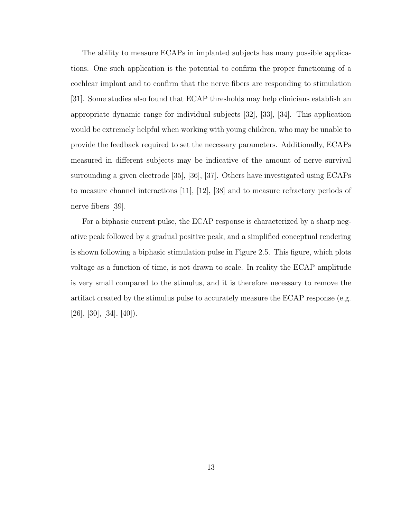The ability to measure ECAPs in implanted subjects has many possible applications. One such application is the potential to confirm the proper functioning of a cochlear implant and to confirm that the nerve fibers are responding to stimulation [\[31\]](#page-74-6). Some studies also found that ECAP thresholds may help clinicians establish an appropriate dynamic range for individual subjects [\[32\]](#page-74-7), [\[33\]](#page-74-8), [\[34\]](#page-74-9). This application would be extremely helpful when working with young children, who may be unable to provide the feedback required to set the necessary parameters. Additionally, ECAPs measured in different subjects may be indicative of the amount of nerve survival surrounding a given electrode [\[35\]](#page-74-10), [\[36\]](#page-75-0), [\[37\]](#page-75-1). Others have investigated using ECAPs to measure channel interactions [\[11\]](#page-73-0), [\[12\]](#page-73-1), [\[38\]](#page-75-2) and to measure refractory periods of nerve fibers [\[39\]](#page-75-3).

For a biphasic current pulse, the ECAP response is characterized by a sharp negative peak followed by a gradual positive peak, and a simplified conceptual rendering is shown following a biphasic stimulation pulse in Figure [2.5.](#page-24-0) This figure, which plots voltage as a function of time, is not drawn to scale. In reality the ECAP amplitude is very small compared to the stimulus, and it is therefore necessary to remove the artifact created by the stimulus pulse to accurately measure the ECAP response (e.g.  $[26]$ ,  $[30]$ ,  $[34]$ ,  $[40]$ ).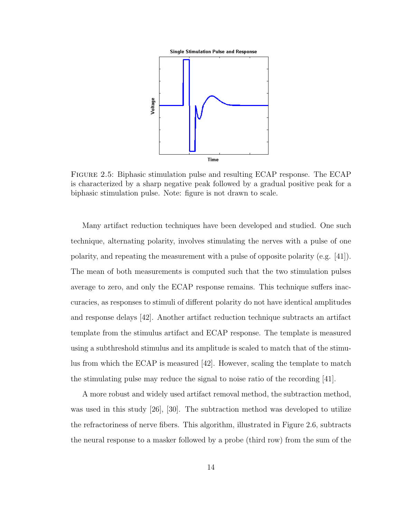

<span id="page-24-0"></span>Figure 2.5: Biphasic stimulation pulse and resulting ECAP response. The ECAP is characterized by a sharp negative peak followed by a gradual positive peak for a biphasic stimulation pulse. Note: figure is not drawn to scale.

Many artifact reduction techniques have been developed and studied. One such technique, alternating polarity, involves stimulating the nerves with a pulse of one polarity, and repeating the measurement with a pulse of opposite polarity (e.g. [\[41\]](#page-75-5)). The mean of both measurements is computed such that the two stimulation pulses average to zero, and only the ECAP response remains. This technique suffers inaccuracies, as responses to stimuli of different polarity do not have identical amplitudes and response delays [\[42\]](#page-75-6). Another artifact reduction technique subtracts an artifact template from the stimulus artifact and ECAP response. The template is measured using a subthreshold stimulus and its amplitude is scaled to match that of the stimulus from which the ECAP is measured [\[42\]](#page-75-6). However, scaling the template to match the stimulating pulse may reduce the signal to noise ratio of the recording [\[41\]](#page-75-5).

A more robust and widely used artifact removal method, the subtraction method, was used in this study [\[26\]](#page-74-1), [\[30\]](#page-74-5). The subtraction method was developed to utilize the refractoriness of nerve fibers. This algorithm, illustrated in Figure [2.6,](#page-25-0) subtracts the neural response to a masker followed by a probe (third row) from the sum of the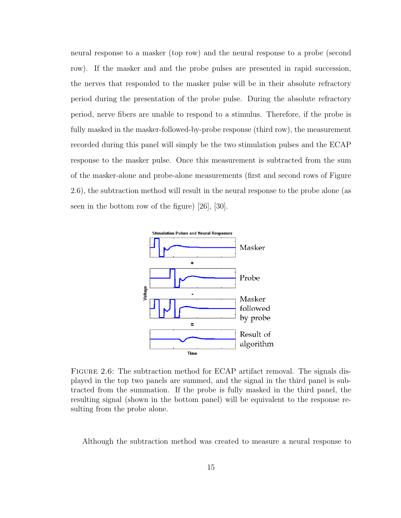neural response to a masker (top row) and the neural response to a probe (second row). If the masker and and the probe pulses are presented in rapid succession, the nerves that responded to the masker pulse will be in their absolute refractory period during the presentation of the probe pulse. During the absolute refractory period, nerve fibers are unable to respond to a stimulus. Therefore, if the probe is fully masked in the masker-followed-by-probe response (third row), the measurement recorded during this panel will simply be the two stimulation pulses and the ECAP response to the masker pulse. Once this measurement is subtracted from the sum of the masker-alone and probe-alone measurements (first and second rows of Figure [2.6\)](#page-25-0), the subtraction method will result in the neural response to the probe alone (as seen in the bottom row of the figure) [\[26\]](#page-74-1), [\[30\]](#page-74-5).



<span id="page-25-0"></span>FIGURE 2.6: The subtraction method for ECAP artifact removal. The signals displayed in the top two panels are summed, and the signal in the third panel is subtracted from the summation. If the probe is fully masked in the third panel, the resulting signal (shown in the bottom panel) will be equivalent to the response resulting from the probe alone.

Although the subtraction method was created to measure a neural response to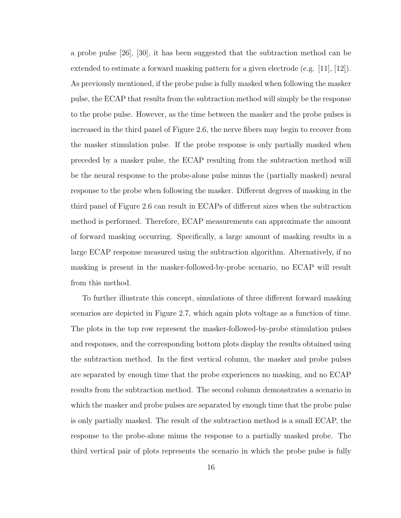a probe pulse [\[26\]](#page-74-1), [\[30\]](#page-74-5), it has been suggested that the subtraction method can be extended to estimate a forward masking pattern for a given electrode (e.g. [\[11\]](#page-73-0), [\[12\]](#page-73-1)). As previously mentioned, if the probe pulse is fully masked when following the masker pulse, the ECAP that results from the subtraction method will simply be the response to the probe pulse. However, as the time between the masker and the probe pulses is increased in the third panel of Figure [2.6,](#page-25-0) the nerve fibers may begin to recover from the masker stimulation pulse. If the probe response is only partially masked when preceded by a masker pulse, the ECAP resulting from the subtraction method will be the neural response to the probe-alone pulse minus the (partially masked) neural response to the probe when following the masker. Different degrees of masking in the third panel of Figure [2.6](#page-25-0) can result in ECAPs of different sizes when the subtraction method is performed. Therefore, ECAP measurements can approximate the amount of forward masking occurring. Specifically, a large amount of masking results in a large ECAP response measured using the subtraction algorithm. Alternatively, if no masking is present in the masker-followed-by-probe scenario, no ECAP will result from this method.

To further illustrate this concept, simulations of three different forward masking scenarios are depicted in Figure [2.7,](#page-27-1) which again plots voltage as a function of time. The plots in the top row represent the masker-followed-by-probe stimulation pulses and responses, and the corresponding bottom plots display the results obtained using the subtraction method. In the first vertical column, the masker and probe pulses are separated by enough time that the probe experiences no masking, and no ECAP results from the subtraction method. The second column demonstrates a scenario in which the masker and probe pulses are separated by enough time that the probe pulse is only partially masked. The result of the subtraction method is a small ECAP, the response to the probe-alone minus the response to a partially masked probe. The third vertical pair of plots represents the scenario in which the probe pulse is fully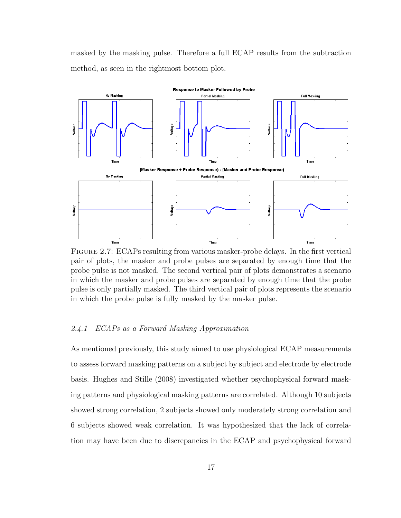masked by the masking pulse. Therefore a full ECAP results from the subtraction method, as seen in the rightmost bottom plot.



<span id="page-27-1"></span>Figure 2.7: ECAPs resulting from various masker-probe delays. In the first vertical pair of plots, the masker and probe pulses are separated by enough time that the probe pulse is not masked. The second vertical pair of plots demonstrates a scenario in which the masker and probe pulses are separated by enough time that the probe pulse is only partially masked. The third vertical pair of plots represents the scenario in which the probe pulse is fully masked by the masker pulse.

#### <span id="page-27-0"></span>2.4.1 ECAPs as a Forward Masking Approximation

As mentioned previously, this study aimed to use physiological ECAP measurements to assess forward masking patterns on a subject by subject and electrode by electrode basis. Hughes and Stille (2008) investigated whether psychophysical forward masking patterns and physiological masking patterns are correlated. Although 10 subjects showed strong correlation, 2 subjects showed only moderately strong correlation and 6 subjects showed weak correlation. It was hypothesized that the lack of correlation may have been due to discrepancies in the ECAP and psychophysical forward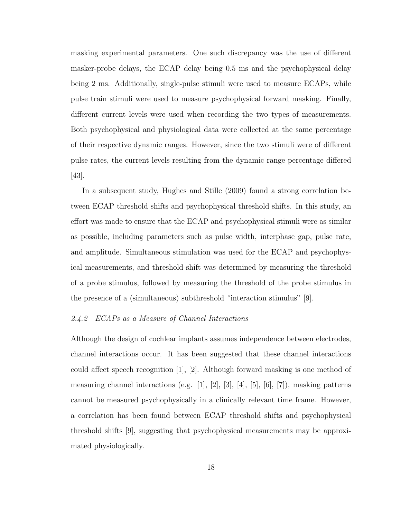masking experimental parameters. One such discrepancy was the use of different masker-probe delays, the ECAP delay being 0.5 ms and the psychophysical delay being 2 ms. Additionally, single-pulse stimuli were used to measure ECAPs, while pulse train stimuli were used to measure psychophysical forward masking. Finally, different current levels were used when recording the two types of measurements. Both psychophysical and physiological data were collected at the same percentage of their respective dynamic ranges. However, since the two stimuli were of different pulse rates, the current levels resulting from the dynamic range percentage differed [\[43\]](#page-75-7).

In a subsequent study, Hughes and Stille (2009) found a strong correlation between ECAP threshold shifts and psychophysical threshold shifts. In this study, an effort was made to ensure that the ECAP and psychophysical stimuli were as similar as possible, including parameters such as pulse width, interphase gap, pulse rate, and amplitude. Simultaneous stimulation was used for the ECAP and psychophysical measurements, and threshold shift was determined by measuring the threshold of a probe stimulus, followed by measuring the threshold of the probe stimulus in the presence of a (simultaneous) subthreshold "interaction stimulus" [\[9\]](#page-72-8).

#### <span id="page-28-0"></span>2.4.2 ECAPs as a Measure of Channel Interactions

Although the design of cochlear implants assumes independence between electrodes, channel interactions occur. It has been suggested that these channel interactions could affect speech recognition  $|1|, |2|$ . Although forward masking is one method of measuring channel interactions (e.g.  $[1]$ ,  $[2]$ ,  $[3]$ ,  $[4]$ ,  $[5]$ ,  $[6]$ ,  $[7]$ ), masking patterns cannot be measured psychophysically in a clinically relevant time frame. However, a correlation has been found between ECAP threshold shifts and psychophysical threshold shifts [\[9\]](#page-72-8), suggesting that psychophysical measurements may be approximated physiologically.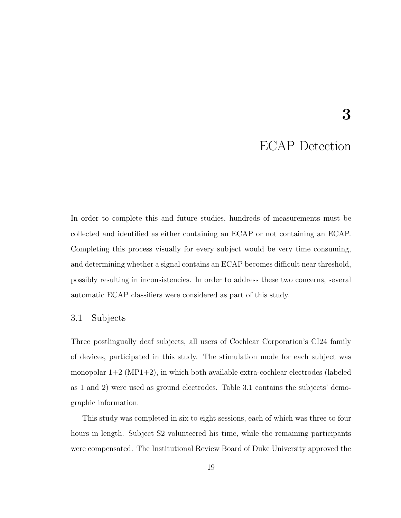## ECAP Detection

3

<span id="page-29-0"></span>In order to complete this and future studies, hundreds of measurements must be collected and identified as either containing an ECAP or not containing an ECAP. Completing this process visually for every subject would be very time consuming, and determining whether a signal contains an ECAP becomes difficult near threshold, possibly resulting in inconsistencies. In order to address these two concerns, several automatic ECAP classifiers were considered as part of this study.

#### <span id="page-29-1"></span>3.1 Subjects

Three postlingually deaf subjects, all users of Cochlear Corporation's CI24 family of devices, participated in this study. The stimulation mode for each subject was monopolar  $1+2$  (MP1+2), in which both available extra-cochlear electrodes (labeled as 1 and 2) were used as ground electrodes. Table [3.1](#page-30-2) contains the subjects' demographic information.

This study was completed in six to eight sessions, each of which was three to four hours in length. Subject S2 volunteered his time, while the remaining participants were compensated. The Institutional Review Board of Duke University approved the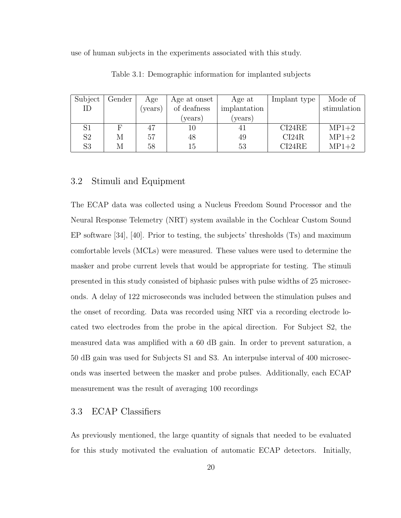use of human subjects in the experiments associated with this study.

| Subject        | Gender | Age     | Age at onset | Age at       | Implant type | Mode of     |  |  |
|----------------|--------|---------|--------------|--------------|--------------|-------------|--|--|
| ID             |        | (years) | of deafness  | implantation |              | stimulation |  |  |
|                |        |         | (years)      | years)       |              |             |  |  |
| $\mathrm{S}1$  |        | 47      |              | 41           | CI24RE       | $MP1+2$     |  |  |
| S <sub>2</sub> | М      | 57      | 48           | 49           | CI24R        | $MP1+2$     |  |  |
| S3             | М      | 58      | 15           | 53           | CI24RE       | $MP1+2$     |  |  |

<span id="page-30-2"></span>Table 3.1: Demographic information for implanted subjects

#### <span id="page-30-0"></span>3.2 Stimuli and Equipment

The ECAP data was collected using a Nucleus Freedom Sound Processor and the Neural Response Telemetry (NRT) system available in the Cochlear Custom Sound EP software [\[34\]](#page-74-9), [\[40\]](#page-75-4). Prior to testing, the subjects' thresholds (Ts) and maximum comfortable levels (MCLs) were measured. These values were used to determine the masker and probe current levels that would be appropriate for testing. The stimuli presented in this study consisted of biphasic pulses with pulse widths of 25 microseconds. A delay of 122 microseconds was included between the stimulation pulses and the onset of recording. Data was recorded using NRT via a recording electrode located two electrodes from the probe in the apical direction. For Subject S2, the measured data was amplified with a 60 dB gain. In order to prevent saturation, a 50 dB gain was used for Subjects S1 and S3. An interpulse interval of 400 microseconds was inserted between the masker and probe pulses. Additionally, each ECAP measurement was the result of averaging 100 recordings

#### <span id="page-30-1"></span>3.3 ECAP Classifiers

As previously mentioned, the large quantity of signals that needed to be evaluated for this study motivated the evaluation of automatic ECAP detectors. Initially,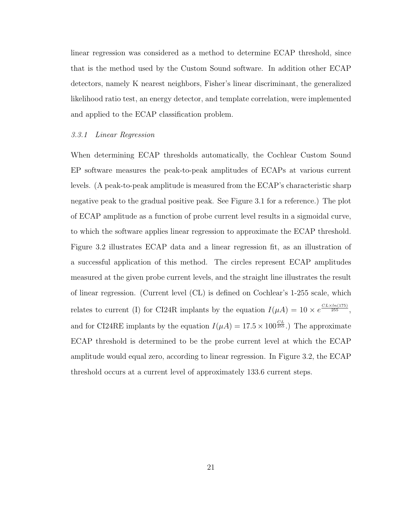linear regression was considered as a method to determine ECAP threshold, since that is the method used by the Custom Sound software. In addition other ECAP detectors, namely K nearest neighbors, Fisher's linear discriminant, the generalized likelihood ratio test, an energy detector, and template correlation, were implemented and applied to the ECAP classification problem.

#### <span id="page-31-0"></span>3.3.1 Linear Regression

When determining ECAP thresholds automatically, the Cochlear Custom Sound EP software measures the peak-to-peak amplitudes of ECAPs at various current levels. (A peak-to-peak amplitude is measured from the ECAP's characteristic sharp negative peak to the gradual positive peak. See Figure [3.1](#page-32-0) for a reference.) The plot of ECAP amplitude as a function of probe current level results in a sigmoidal curve, to which the software applies linear regression to approximate the ECAP threshold. Figure [3.2](#page-32-1) illustrates ECAP data and a linear regression fit, as an illustration of a successful application of this method. The circles represent ECAP amplitudes measured at the given probe current levels, and the straight line illustrates the result of linear regression. (Current level (CL) is defined on Cochlear's 1-255 scale, which relates to current (I) for CI24R implants by the equation  $I(\mu A) = 10 \times e^{\frac{CL \times In(175)}{255}}$ , and for CI24RE implants by the equation  $I(\mu A) = 17.5 \times 100^{\frac{CL}{255}}$ .) The approximate ECAP threshold is determined to be the probe current level at which the ECAP amplitude would equal zero, according to linear regression. In Figure [3.2,](#page-32-1) the ECAP threshold occurs at a current level of approximately 133.6 current steps.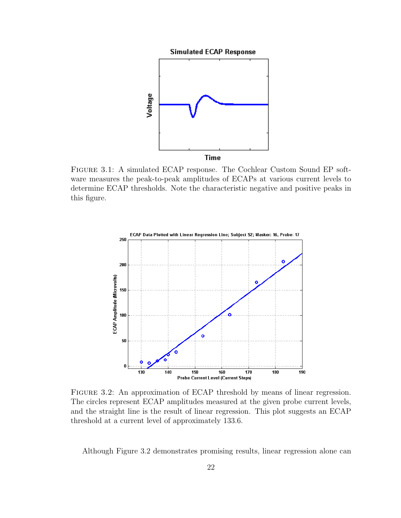



<span id="page-32-0"></span>Figure 3.1: A simulated ECAP response. The Cochlear Custom Sound EP software measures the peak-to-peak amplitudes of ECAPs at various current levels to determine ECAP thresholds. Note the characteristic negative and positive peaks in this figure.



<span id="page-32-1"></span>FIGURE 3.2: An approximation of ECAP threshold by means of linear regression. The circles represent ECAP amplitudes measured at the given probe current levels, and the straight line is the result of linear regression. This plot suggests an ECAP threshold at a current level of approximately 133.6.

Although Figure [3.2](#page-32-1) demonstrates promising results, linear regression alone can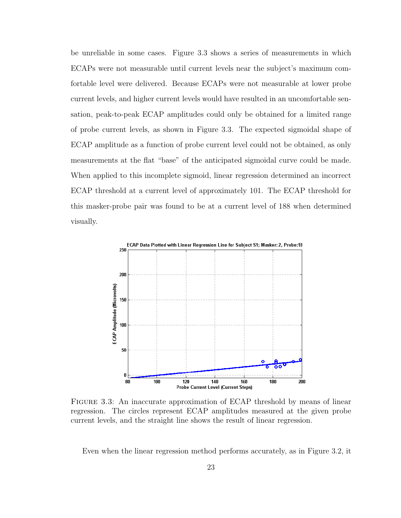be unreliable in some cases. Figure [3.3](#page-33-0) shows a series of measurements in which ECAPs were not measurable until current levels near the subject's maximum comfortable level were delivered. Because ECAPs were not measurable at lower probe current levels, and higher current levels would have resulted in an uncomfortable sensation, peak-to-peak ECAP amplitudes could only be obtained for a limited range of probe current levels, as shown in Figure [3.3.](#page-33-0) The expected sigmoidal shape of ECAP amplitude as a function of probe current level could not be obtained, as only measurements at the flat "base" of the anticipated sigmoidal curve could be made. When applied to this incomplete sigmoid, linear regression determined an incorrect ECAP threshold at a current level of approximately 101. The ECAP threshold for this masker-probe pair was found to be at a current level of 188 when determined visually.



<span id="page-33-0"></span>FIGURE 3.3: An inaccurate approximation of ECAP threshold by means of linear regression. The circles represent ECAP amplitudes measured at the given probe current levels, and the straight line shows the result of linear regression.

Even when the linear regression method performs accurately, as in Figure [3.2,](#page-32-1) it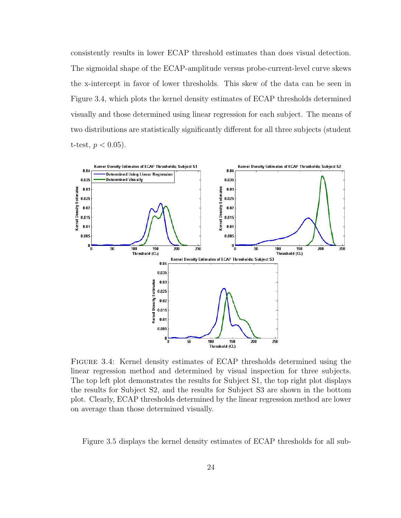consistently results in lower ECAP threshold estimates than does visual detection. The sigmoidal shape of the ECAP-amplitude versus probe-current-level curve skews the x-intercept in favor of lower thresholds. This skew of the data can be seen in Figure [3.4,](#page-34-0) which plots the kernel density estimates of ECAP thresholds determined visually and those determined using linear regression for each subject. The means of two distributions are statistically significantly different for all three subjects (student t-test,  $p < 0.05$ ).



<span id="page-34-0"></span>Figure 3.4: Kernel density estimates of ECAP thresholds determined using the linear regression method and determined by visual inspection for three subjects. The top left plot demonstrates the results for Subject S1, the top right plot displays the results for Subject S2, and the results for Subject S3 are shown in the bottom plot. Clearly, ECAP thresholds determined by the linear regression method are lower on average than those determined visually.

Figure [3.5](#page-35-0) displays the kernel density estimates of ECAP thresholds for all sub-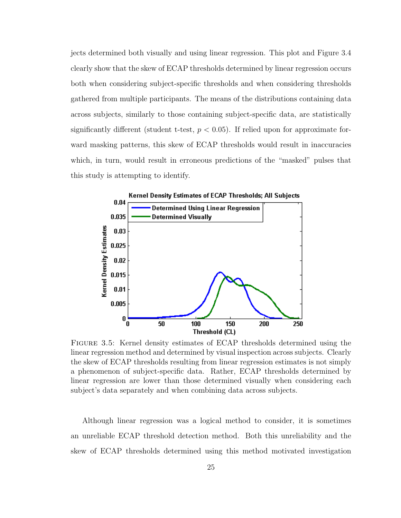jects determined both visually and using linear regression. This plot and Figure [3.4](#page-34-0) clearly show that the skew of ECAP thresholds determined by linear regression occurs both when considering subject-specific thresholds and when considering thresholds gathered from multiple participants. The means of the distributions containing data across subjects, similarly to those containing subject-specific data, are statistically significantly different (student t-test,  $p < 0.05$ ). If relied upon for approximate forward masking patterns, this skew of ECAP thresholds would result in inaccuracies which, in turn, would result in erroneous predictions of the "masked" pulses that this study is attempting to identify.



<span id="page-35-0"></span>Figure 3.5: Kernel density estimates of ECAP thresholds determined using the linear regression method and determined by visual inspection across subjects. Clearly the skew of ECAP thresholds resulting from linear regression estimates is not simply a phenomenon of subject-specific data. Rather, ECAP thresholds determined by linear regression are lower than those determined visually when considering each subject's data separately and when combining data across subjects.

Although linear regression was a logical method to consider, it is sometimes an unreliable ECAP threshold detection method. Both this unreliability and the skew of ECAP thresholds determined using this method motivated investigation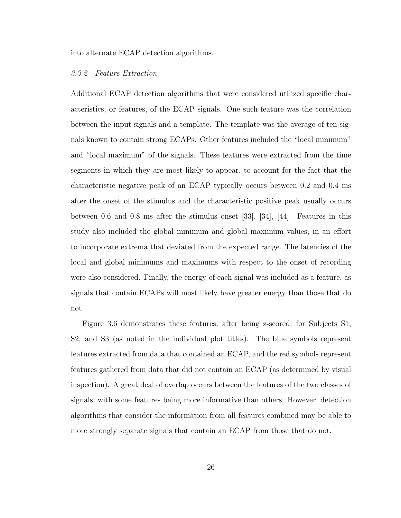into alternate ECAP detection algorithms.

### 3.3.2 Feature Extraction

Additional ECAP detection algorithms that were considered utilized specific characteristics, or features, of the ECAP signals. One such feature was the correlation between the input signals and a template. The template was the average of ten signals known to contain strong ECAPs. Other features included the "local minimum" and "local maximum" of the signals. These features were extracted from the time segments in which they are most likely to appear, to account for the fact that the characteristic negative peak of an ECAP typically occurs between 0.2 and 0.4 ms after the onset of the stimulus and the characteristic positive peak usually occurs between 0.6 and 0.8 ms after the stimulus onset [\[33\]](#page-74-0), [\[34\]](#page-74-1), [\[44\]](#page-75-0). Features in this study also included the global minimum and global maximum values, in an effort to incorporate extrema that deviated from the expected range. The latencies of the local and global minimums and maximums with respect to the onset of recording were also considered. Finally, the energy of each signal was included as a feature, as signals that contain ECAPs will most likely have greater energy than those that do not.

Figure [3.6](#page-37-0) demonstrates these features, after being z-scored, for Subjects S1, S2, and S3 (as noted in the individual plot titles). The blue symbols represent features extracted from data that contained an ECAP, and the red symbols represent features gathered from data that did not contain an ECAP (as determined by visual inspection). A great deal of overlap occurs between the features of the two classes of signals, with some features being more informative than others. However, detection algorithms that consider the information from all features combined may be able to more strongly separate signals that contain an ECAP from those that do not.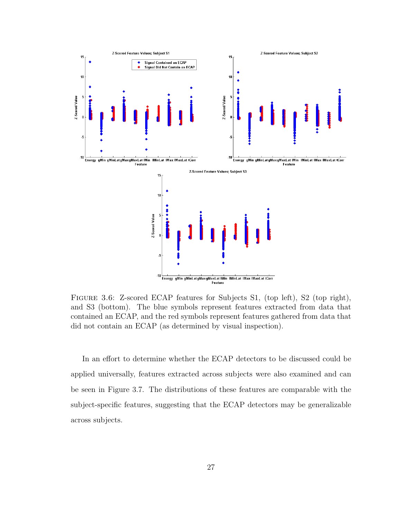

<span id="page-37-0"></span>Figure 3.6: Z-scored ECAP features for Subjects S1, (top left), S2 (top right), and S3 (bottom). The blue symbols represent features extracted from data that contained an ECAP, and the red symbols represent features gathered from data that did not contain an ECAP (as determined by visual inspection).

In an effort to determine whether the ECAP detectors to be discussed could be applied universally, features extracted across subjects were also examined and can be seen in Figure [3.7.](#page-38-0) The distributions of these features are comparable with the subject-specific features, suggesting that the ECAP detectors may be generalizable across subjects.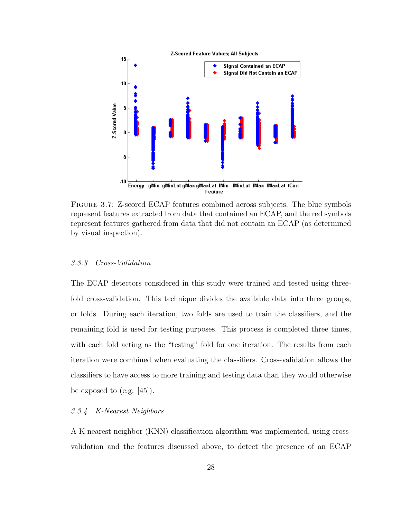

<span id="page-38-0"></span>Figure 3.7: Z-scored ECAP features combined across subjects. The blue symbols represent features extracted from data that contained an ECAP, and the red symbols represent features gathered from data that did not contain an ECAP (as determined by visual inspection).

## 3.3.3 Cross-Validation

The ECAP detectors considered in this study were trained and tested using threefold cross-validation. This technique divides the available data into three groups, or folds. During each iteration, two folds are used to train the classifiers, and the remaining fold is used for testing purposes. This process is completed three times, with each fold acting as the "testing" fold for one iteration. The results from each iteration were combined when evaluating the classifiers. Cross-validation allows the classifiers to have access to more training and testing data than they would otherwise be exposed to  $(e.g. [45])$  $(e.g. [45])$  $(e.g. [45])$ .

### 3.3.4 K-Nearest Neighbors

A K nearest neighbor (KNN) classification algorithm was implemented, using crossvalidation and the features discussed above, to detect the presence of an ECAP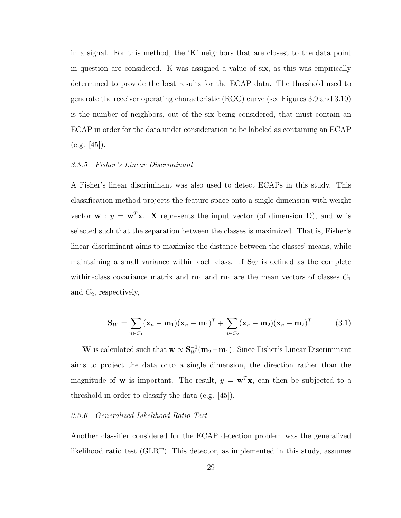in a signal. For this method, the 'K' neighbors that are closest to the data point in question are considered. K was assigned a value of six, as this was empirically determined to provide the best results for the ECAP data. The threshold used to generate the receiver operating characteristic (ROC) curve (see Figures [3.9](#page-43-0) and [3.10\)](#page-44-0) is the number of neighbors, out of the six being considered, that must contain an ECAP in order for the data under consideration to be labeled as containing an ECAP  $(e.g. [45]).$  $(e.g. [45]).$  $(e.g. [45]).$ 

### 3.3.5 Fisher's Linear Discriminant

A Fisher's linear discriminant was also used to detect ECAPs in this study. This classification method projects the feature space onto a single dimension with weight vector  $\mathbf{w} : y = \mathbf{w}^T \mathbf{x}$ . X represents the input vector (of dimension D), and  $\mathbf{w}$  is selected such that the separation between the classes is maximized. That is, Fisher's linear discriminant aims to maximize the distance between the classes' means, while maintaining a small variance within each class. If  $S_W$  is defined as the complete within-class covariance matrix and  $m_1$  and  $m_2$  are the mean vectors of classes  $C_1$ and  $C_2$ , respectively,

$$
\mathbf{S}_W = \sum_{n \in C_1} (\mathbf{x}_n - \mathbf{m}_1)(\mathbf{x}_n - \mathbf{m}_1)^T + \sum_{n \in C_2} (\mathbf{x}_n - \mathbf{m}_2)(\mathbf{x}_n - \mathbf{m}_2)^T.
$$
 (3.1)

W is calculated such that  $w \propto S_W^{-1}(m_2 - m_1)$ . Since Fisher's Linear Discriminant aims to project the data onto a single dimension, the direction rather than the magnitude of **w** is important. The result,  $y = \mathbf{w}^T \mathbf{x}$ , can then be subjected to a threshold in order to classify the data (e.g. [\[45\]](#page-75-1)).

#### 3.3.6 Generalized Likelihood Ratio Test

Another classifier considered for the ECAP detection problem was the generalized likelihood ratio test (GLRT). This detector, as implemented in this study, assumes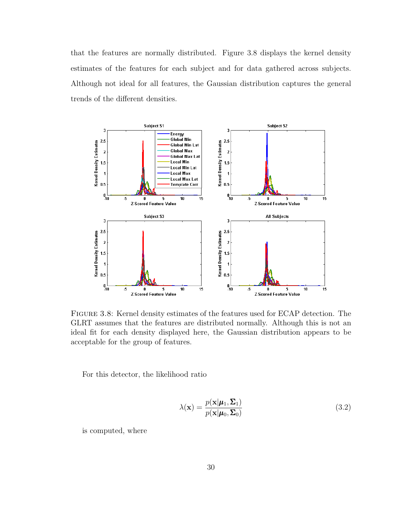that the features are normally distributed. Figure [3.8](#page-40-0) displays the kernel density estimates of the features for each subject and for data gathered across subjects. Although not ideal for all features, the Gaussian distribution captures the general trends of the different densities.



<span id="page-40-0"></span>Figure 3.8: Kernel density estimates of the features used for ECAP detection. The GLRT assumes that the features are distributed normally. Although this is not an ideal fit for each density displayed here, the Gaussian distribution appears to be acceptable for the group of features.

For this detector, the likelihood ratio

$$
\lambda(\mathbf{x}) = \frac{p(\mathbf{x}|\boldsymbol{\mu}_1, \boldsymbol{\Sigma}_1)}{p(\mathbf{x}|\boldsymbol{\mu}_0, \boldsymbol{\Sigma}_0)}
$$
(3.2)

is computed, where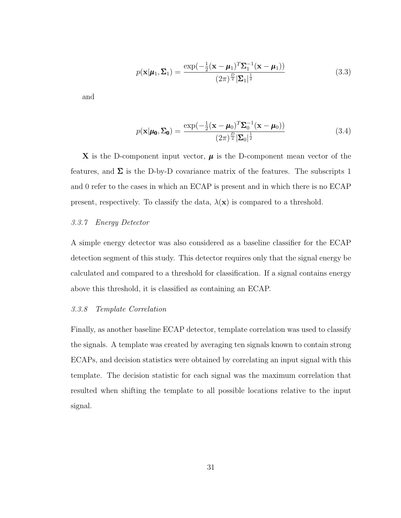$$
p(\mathbf{x}|\boldsymbol{\mu}_1, \boldsymbol{\Sigma}_1) = \frac{\exp(-\frac{1}{2}(\mathbf{x} - \boldsymbol{\mu}_1)^T \boldsymbol{\Sigma}_1^{-1}(\mathbf{x} - \boldsymbol{\mu}_1))}{(2\pi)^{\frac{D}{2}} |\boldsymbol{\Sigma}_1|^{\frac{1}{2}}}
$$
(3.3)

and

$$
p(\mathbf{x}|\boldsymbol{\mu_0}, \boldsymbol{\Sigma_0}) = \frac{\exp(-\frac{1}{2}(\mathbf{x} - \boldsymbol{\mu}_0)^T \boldsymbol{\Sigma}_0^{-1}(\mathbf{x} - \boldsymbol{\mu}_0))}{(2\pi)^{\frac{D}{2}} |\boldsymbol{\Sigma}_0|^{\frac{1}{2}}}
$$
(3.4)

X is the D-component input vector,  $\mu$  is the D-component mean vector of the features, and  $\Sigma$  is the D-by-D covariance matrix of the features. The subscripts 1 and 0 refer to the cases in which an ECAP is present and in which there is no ECAP present, respectively. To classify the data,  $\lambda(\mathbf{x})$  is compared to a threshold.

### 3.3.7 Energy Detector

A simple energy detector was also considered as a baseline classifier for the ECAP detection segment of this study. This detector requires only that the signal energy be calculated and compared to a threshold for classification. If a signal contains energy above this threshold, it is classified as containing an ECAP.

### 3.3.8 Template Correlation

Finally, as another baseline ECAP detector, template correlation was used to classify the signals. A template was created by averaging ten signals known to contain strong ECAPs, and decision statistics were obtained by correlating an input signal with this template. The decision statistic for each signal was the maximum correlation that resulted when shifting the template to all possible locations relative to the input signal.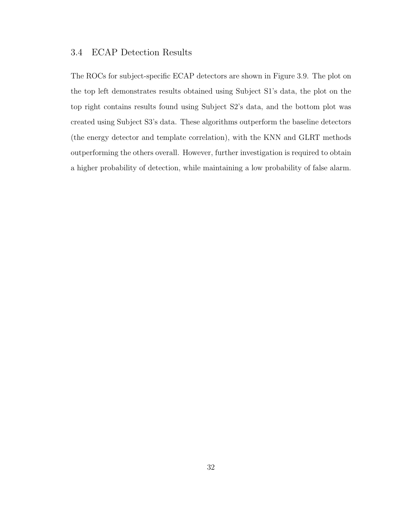## 3.4 ECAP Detection Results

The ROCs for subject-specific ECAP detectors are shown in Figure [3.9.](#page-43-0) The plot on the top left demonstrates results obtained using Subject S1's data, the plot on the top right contains results found using Subject S2's data, and the bottom plot was created using Subject S3's data. These algorithms outperform the baseline detectors (the energy detector and template correlation), with the KNN and GLRT methods outperforming the others overall. However, further investigation is required to obtain a higher probability of detection, while maintaining a low probability of false alarm.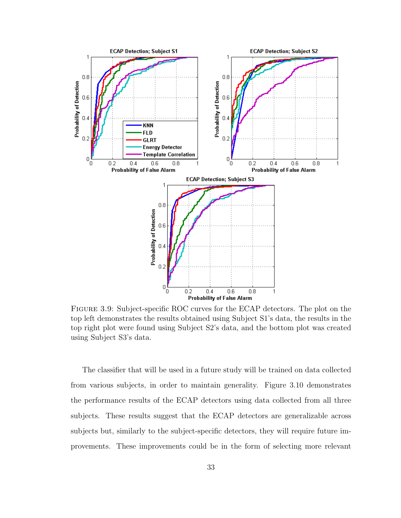

<span id="page-43-0"></span>Figure 3.9: Subject-specific ROC curves for the ECAP detectors. The plot on the top left demonstrates the results obtained using Subject S1's data, the results in the top right plot were found using Subject S2's data, and the bottom plot was created using Subject S3's data.

The classifier that will be used in a future study will be trained on data collected from various subjects, in order to maintain generality. Figure [3.10](#page-44-0) demonstrates the performance results of the ECAP detectors using data collected from all three subjects. These results suggest that the ECAP detectors are generalizable across subjects but, similarly to the subject-specific detectors, they will require future improvements. These improvements could be in the form of selecting more relevant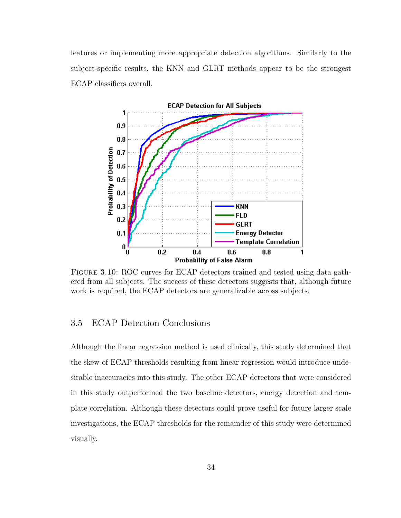features or implementing more appropriate detection algorithms. Similarly to the subject-specific results, the KNN and GLRT methods appear to be the strongest ECAP classifiers overall.



<span id="page-44-0"></span>Figure 3.10: ROC curves for ECAP detectors trained and tested using data gathered from all subjects. The success of these detectors suggests that, although future work is required, the ECAP detectors are generalizable across subjects.

## 3.5 ECAP Detection Conclusions

Although the linear regression method is used clinically, this study determined that the skew of ECAP thresholds resulting from linear regression would introduce undesirable inaccuracies into this study. The other ECAP detectors that were considered in this study outperformed the two baseline detectors, energy detection and template correlation. Although these detectors could prove useful for future larger scale investigations, the ECAP thresholds for the remainder of this study were determined visually.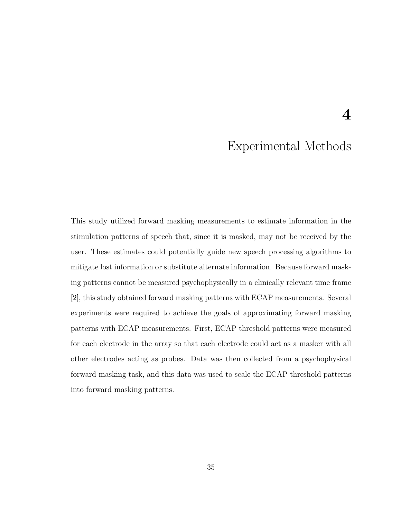## Experimental Methods

4

This study utilized forward masking measurements to estimate information in the stimulation patterns of speech that, since it is masked, may not be received by the user. These estimates could potentially guide new speech processing algorithms to mitigate lost information or substitute alternate information. Because forward masking patterns cannot be measured psychophysically in a clinically relevant time frame [\[2\]](#page-72-0), this study obtained forward masking patterns with ECAP measurements. Several experiments were required to achieve the goals of approximating forward masking patterns with ECAP measurements. First, ECAP threshold patterns were measured for each electrode in the array so that each electrode could act as a masker with all other electrodes acting as probes. Data was then collected from a psychophysical forward masking task, and this data was used to scale the ECAP threshold patterns into forward masking patterns.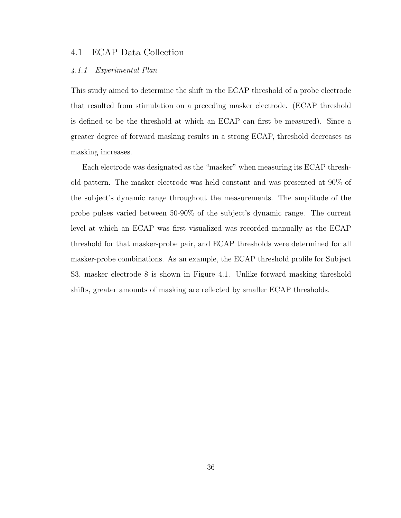### 4.1 ECAP Data Collection

### 4.1.1 Experimental Plan

This study aimed to determine the shift in the ECAP threshold of a probe electrode that resulted from stimulation on a preceding masker electrode. (ECAP threshold is defined to be the threshold at which an ECAP can first be measured). Since a greater degree of forward masking results in a strong ECAP, threshold decreases as masking increases.

Each electrode was designated as the "masker" when measuring its ECAP threshold pattern. The masker electrode was held constant and was presented at 90% of the subject's dynamic range throughout the measurements. The amplitude of the probe pulses varied between 50-90% of the subject's dynamic range. The current level at which an ECAP was first visualized was recorded manually as the ECAP threshold for that masker-probe pair, and ECAP thresholds were determined for all masker-probe combinations. As an example, the ECAP threshold profile for Subject S3, masker electrode 8 is shown in Figure [4.1.](#page-47-0) Unlike forward masking threshold shifts, greater amounts of masking are reflected by smaller ECAP thresholds.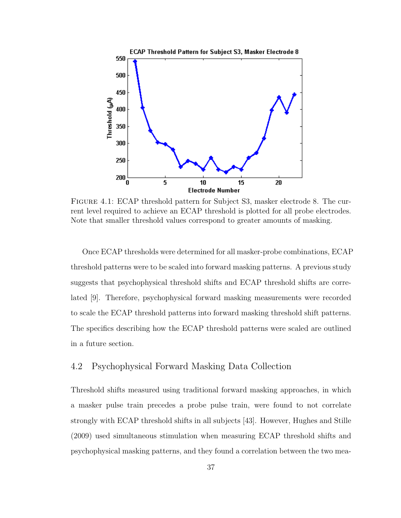

<span id="page-47-0"></span>Figure 4.1: ECAP threshold pattern for Subject S3, masker electrode 8. The current level required to achieve an ECAP threshold is plotted for all probe electrodes. Note that smaller threshold values correspond to greater amounts of masking.

Once ECAP thresholds were determined for all masker-probe combinations, ECAP threshold patterns were to be scaled into forward masking patterns. A previous study suggests that psychophysical threshold shifts and ECAP threshold shifts are correlated [\[9\]](#page-72-1). Therefore, psychophysical forward masking measurements were recorded to scale the ECAP threshold patterns into forward masking threshold shift patterns. The specifics describing how the ECAP threshold patterns were scaled are outlined in a future section.

## <span id="page-47-1"></span>4.2 Psychophysical Forward Masking Data Collection

Threshold shifts measured using traditional forward masking approaches, in which a masker pulse train precedes a probe pulse train, were found to not correlate strongly with ECAP threshold shifts in all subjects [\[43\]](#page-75-2). However, Hughes and Stille (2009) used simultaneous stimulation when measuring ECAP threshold shifts and psychophysical masking patterns, and they found a correlation between the two mea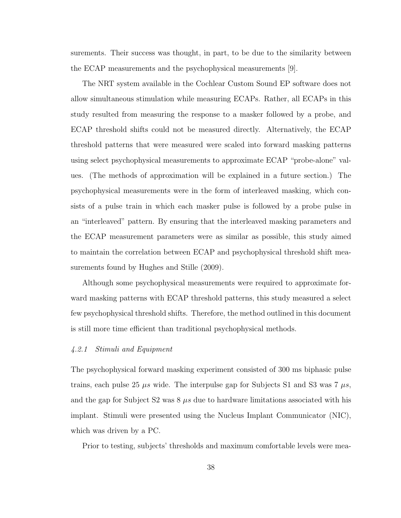surements. Their success was thought, in part, to be due to the similarity between the ECAP measurements and the psychophysical measurements [\[9\]](#page-72-1).

The NRT system available in the Cochlear Custom Sound EP software does not allow simultaneous stimulation while measuring ECAPs. Rather, all ECAPs in this study resulted from measuring the response to a masker followed by a probe, and ECAP threshold shifts could not be measured directly. Alternatively, the ECAP threshold patterns that were measured were scaled into forward masking patterns using select psychophysical measurements to approximate ECAP "probe-alone" values. (The methods of approximation will be explained in a future section.) The psychophysical measurements were in the form of interleaved masking, which consists of a pulse train in which each masker pulse is followed by a probe pulse in an "interleaved" pattern. By ensuring that the interleaved masking parameters and the ECAP measurement parameters were as similar as possible, this study aimed to maintain the correlation between ECAP and psychophysical threshold shift measurements found by Hughes and Stille (2009).

Although some psychophysical measurements were required to approximate forward masking patterns with ECAP threshold patterns, this study measured a select few psychophysical threshold shifts. Therefore, the method outlined in this document is still more time efficient than traditional psychophysical methods.

### 4.2.1 Stimuli and Equipment

The psychophysical forward masking experiment consisted of 300 ms biphasic pulse trains, each pulse 25  $\mu s$  wide. The interpulse gap for Subjects S1 and S3 was 7  $\mu s$ , and the gap for Subject S2 was  $8 \mu s$  due to hardware limitations associated with his implant. Stimuli were presented using the Nucleus Implant Communicator (NIC), which was driven by a PC.

Prior to testing, subjects' thresholds and maximum comfortable levels were mea-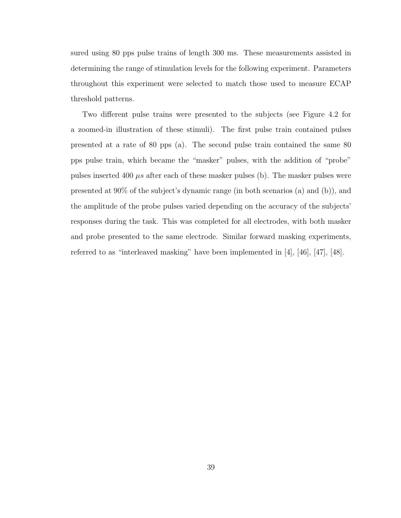sured using 80 pps pulse trains of length 300 ms. These measurements assisted in determining the range of stimulation levels for the following experiment. Parameters throughout this experiment were selected to match those used to measure ECAP threshold patterns.

Two different pulse trains were presented to the subjects (see Figure [4.2](#page-50-0) for a zoomed-in illustration of these stimuli). The first pulse train contained pulses presented at a rate of 80 pps (a). The second pulse train contained the same 80 pps pulse train, which became the "masker" pulses, with the addition of "probe" pulses inserted 400  $\mu s$  after each of these masker pulses (b). The masker pulses were presented at 90% of the subject's dynamic range (in both scenarios (a) and (b)), and the amplitude of the probe pulses varied depending on the accuracy of the subjects' responses during the task. This was completed for all electrodes, with both masker and probe presented to the same electrode. Similar forward masking experiments, referred to as "interleaved masking" have been implemented in [\[4\]](#page-72-2), [\[46\]](#page-75-3), [\[47\]](#page-75-4), [\[48\]](#page-75-5).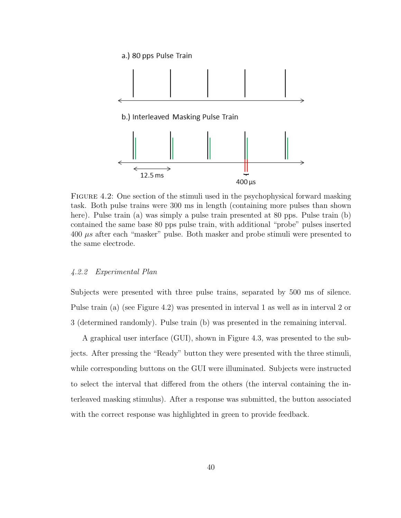

<span id="page-50-0"></span>FIGURE 4.2: One section of the stimuli used in the psychophysical forward masking task. Both pulse trains were 300 ms in length (containing more pulses than shown here). Pulse train (a) was simply a pulse train presented at 80 pps. Pulse train (b) contained the same base 80 pps pulse train, with additional "probe" pulses inserted  $400 \mu s$  after each "masker" pulse. Both masker and probe stimuli were presented to the same electrode.

### 4.2.2 Experimental Plan

Subjects were presented with three pulse trains, separated by 500 ms of silence. Pulse train (a) (see Figure [4.2\)](#page-50-0) was presented in interval 1 as well as in interval 2 or 3 (determined randomly). Pulse train (b) was presented in the remaining interval.

A graphical user interface (GUI), shown in Figure [4.3,](#page-51-0) was presented to the subjects. After pressing the "Ready" button they were presented with the three stimuli, while corresponding buttons on the GUI were illuminated. Subjects were instructed to select the interval that differed from the others (the interval containing the interleaved masking stimulus). After a response was submitted, the button associated with the correct response was highlighted in green to provide feedback.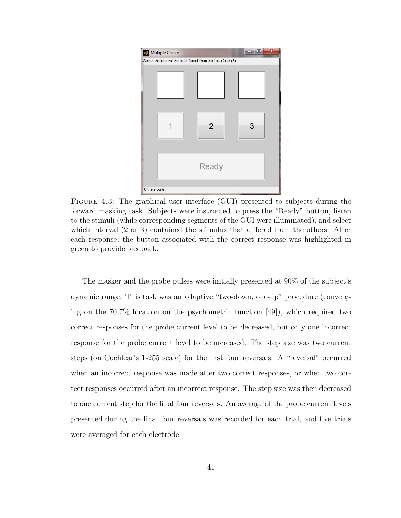

<span id="page-51-0"></span>Figure 4.3: The graphical user interface (GUI) presented to subjects during the forward masking task. Subjects were instructed to press the "Ready" button, listen to the stimuli (while corresponding segments of the GUI were illuminated), and select which interval (2 or 3) contained the stimulus that differed from the others. After each response, the button associated with the correct response was highlighted in green to provide feedback.

The masker and the probe pulses were initially presented at 90% of the subject's dynamic range. This task was an adaptive "two-down, one-up" procedure (converging on the 70.7% location on the psychometric function [\[49\]](#page-76-0)), which required two correct responses for the probe current level to be decreased, but only one incorrect response for the probe current level to be increased. The step size was two current steps (on Cochlear's 1-255 scale) for the first four reversals. A "reversal" occurred when an incorrect response was made after two correct responses, or when two correct responses occurred after an incorrect response. The step size was then decreased to one current step for the final four reversals. An average of the probe current levels presented during the final four reversals was recorded for each trial, and five trials were averaged for each electrode.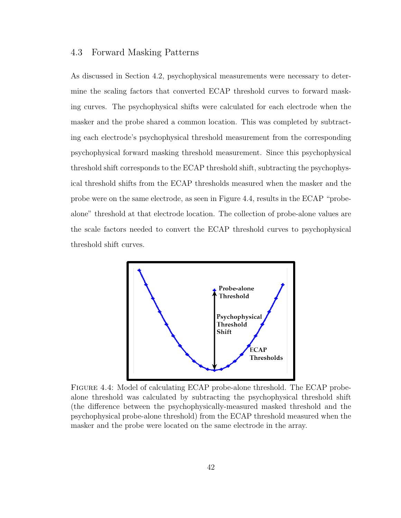### 4.3 Forward Masking Patterns

As discussed in Section [4.2,](#page-47-1) psychophysical measurements were necessary to determine the scaling factors that converted ECAP threshold curves to forward masking curves. The psychophysical shifts were calculated for each electrode when the masker and the probe shared a common location. This was completed by subtracting each electrode's psychophysical threshold measurement from the corresponding psychophysical forward masking threshold measurement. Since this psychophysical threshold shift corresponds to the ECAP threshold shift, subtracting the psychophysical threshold shifts from the ECAP thresholds measured when the masker and the probe were on the same electrode, as seen in Figure [4.4,](#page-52-0) results in the ECAP "probealone" threshold at that electrode location. The collection of probe-alone values are the scale factors needed to convert the ECAP threshold curves to psychophysical threshold shift curves.



<span id="page-52-0"></span>Figure 4.4: Model of calculating ECAP probe-alone threshold. The ECAP probealone threshold was calculated by subtracting the psychophysical threshold shift (the difference between the psychophysically-measured masked threshold and the psychophysical probe-alone threshold) from the ECAP threshold measured when the masker and the probe were located on the same electrode in the array.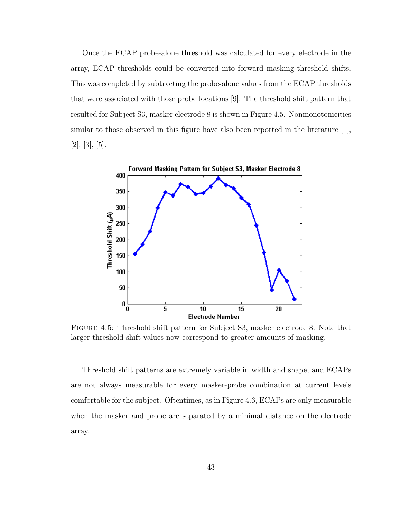Once the ECAP probe-alone threshold was calculated for every electrode in the array, ECAP thresholds could be converted into forward masking threshold shifts. This was completed by subtracting the probe-alone values from the ECAP thresholds that were associated with those probe locations [\[9\]](#page-72-1). The threshold shift pattern that resulted for Subject S3, masker electrode 8 is shown in Figure [4.5.](#page-53-0) Nonmonotonicities similar to those observed in this figure have also been reported in the literature [\[1\]](#page-72-3),  $[2], [3], [5].$  $[2], [3], [5].$  $[2], [3], [5].$  $[2], [3], [5].$  $[2], [3], [5].$  $[2], [3], [5].$ 



<span id="page-53-0"></span>Figure 4.5: Threshold shift pattern for Subject S3, masker electrode 8. Note that larger threshold shift values now correspond to greater amounts of masking.

Threshold shift patterns are extremely variable in width and shape, and ECAPs are not always measurable for every masker-probe combination at current levels comfortable for the subject. Oftentimes, as in Figure [4.6,](#page-54-0) ECAPs are only measurable when the masker and probe are separated by a minimal distance on the electrode array.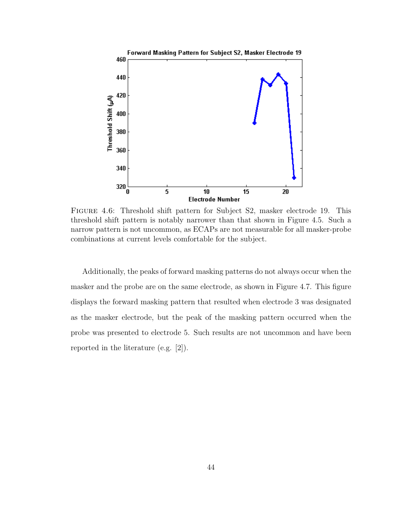

<span id="page-54-0"></span>Figure 4.6: Threshold shift pattern for Subject S2, masker electrode 19. This threshold shift pattern is notably narrower than that shown in Figure [4.5.](#page-53-0) Such a narrow pattern is not uncommon, as ECAPs are not measurable for all masker-probe combinations at current levels comfortable for the subject.

Additionally, the peaks of forward masking patterns do not always occur when the masker and the probe are on the same electrode, as shown in Figure [4.7.](#page-55-0) This figure displays the forward masking pattern that resulted when electrode 3 was designated as the masker electrode, but the peak of the masking pattern occurred when the probe was presented to electrode 5. Such results are not uncommon and have been reported in the literature (e.g. [\[2\]](#page-72-0)).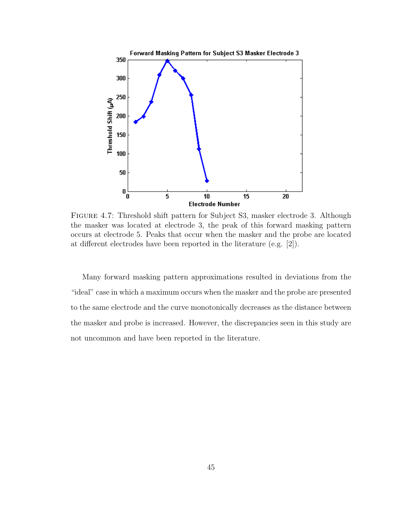

<span id="page-55-0"></span>Figure 4.7: Threshold shift pattern for Subject S3, masker electrode 3. Although the masker was located at electrode 3, the peak of this forward masking pattern occurs at electrode 5. Peaks that occur when the masker and the probe are located at different electrodes have been reported in the literature (e.g. [\[2\]](#page-72-0)).

Many forward masking pattern approximations resulted in deviations from the "ideal" case in which a maximum occurs when the masker and the probe are presented to the same electrode and the curve monotonically decreases as the distance between the masker and probe is increased. However, the discrepancies seen in this study are not uncommon and have been reported in the literature.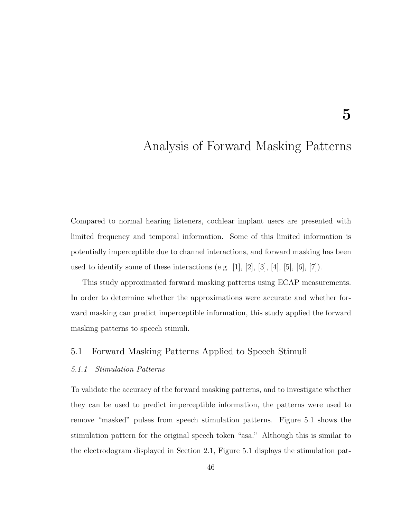# Analysis of Forward Masking Patterns

Compared to normal hearing listeners, cochlear implant users are presented with limited frequency and temporal information. Some of this limited information is potentially imperceptible due to channel interactions, and forward masking has been used to identify some of these interactions (e.g. [\[1\]](#page-72-3), [\[2\]](#page-72-0), [\[3\]](#page-72-4), [\[4\]](#page-72-2), [\[5\]](#page-72-5), [\[6\]](#page-72-6), [\[7\]](#page-72-7)).

This study approximated forward masking patterns using ECAP measurements. In order to determine whether the approximations were accurate and whether forward masking can predict imperceptible information, this study applied the forward masking patterns to speech stimuli.

## 5.1 Forward Masking Patterns Applied to Speech Stimuli

### 5.1.1 Stimulation Patterns

To validate the accuracy of the forward masking patterns, and to investigate whether they can be used to predict imperceptible information, the patterns were used to remove "masked" pulses from speech stimulation patterns. Figure [5.1](#page-57-0) shows the stimulation pattern for the original speech token "asa." Although this is similar to the electrodogram displayed in Section [2.1,](#page-15-0) Figure [5.1](#page-57-0) displays the stimulation pat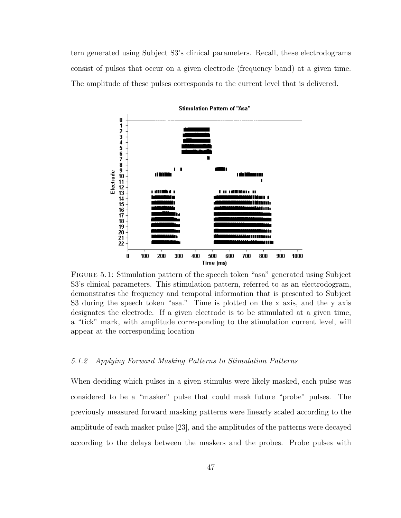tern generated using Subject S3's clinical parameters. Recall, these electrodograms consist of pulses that occur on a given electrode (frequency band) at a given time. The amplitude of these pulses corresponds to the current level that is delivered.



Stimulation Pattern of "Asa"

<span id="page-57-0"></span>Figure 5.1: Stimulation pattern of the speech token "asa" generated using Subject S3's clinical parameters. This stimulation pattern, referred to as an electrodogram, demonstrates the frequency and temporal information that is presented to Subject S3 during the speech token "asa." Time is plotted on the x axis, and the y axis designates the electrode. If a given electrode is to be stimulated at a given time, a "tick" mark, with amplitude corresponding to the stimulation current level, will appear at the corresponding location

### 5.1.2 Applying Forward Masking Patterns to Stimulation Patterns

When deciding which pulses in a given stimulus were likely masked, each pulse was considered to be a "masker" pulse that could mask future "probe" pulses. The previously measured forward masking patterns were linearly scaled according to the amplitude of each masker pulse [\[23\]](#page-73-0), and the amplitudes of the patterns were decayed according to the delays between the maskers and the probes. Probe pulses with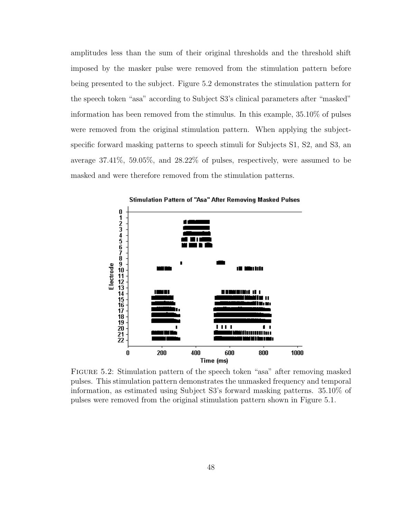amplitudes less than the sum of their original thresholds and the threshold shift imposed by the masker pulse were removed from the stimulation pattern before being presented to the subject. Figure [5.2](#page-58-0) demonstrates the stimulation pattern for the speech token "asa" according to Subject S3's clinical parameters after "masked" information has been removed from the stimulus. In this example, 35.10% of pulses were removed from the original stimulation pattern. When applying the subjectspecific forward masking patterns to speech stimuli for Subjects S1, S2, and S3, an average 37.41%, 59.05%, and 28.22% of pulses, respectively, were assumed to be masked and were therefore removed from the stimulation patterns.



<span id="page-58-0"></span>Figure 5.2: Stimulation pattern of the speech token "asa" after removing masked pulses. This stimulation pattern demonstrates the unmasked frequency and temporal information, as estimated using Subject S3's forward masking patterns. 35.10% of pulses were removed from the original stimulation pattern shown in Figure [5.1.](#page-57-0)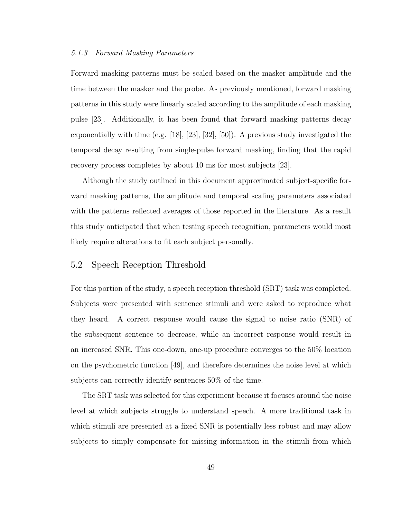### 5.1.3 Forward Masking Parameters

Forward masking patterns must be scaled based on the masker amplitude and the time between the masker and the probe. As previously mentioned, forward masking patterns in this study were linearly scaled according to the amplitude of each masking pulse [\[23\]](#page-73-0). Additionally, it has been found that forward masking patterns decay exponentially with time (e.g. [\[18\]](#page-73-1), [\[23\]](#page-73-0), [\[32\]](#page-74-2), [\[50\]](#page-76-1)). A previous study investigated the temporal decay resulting from single-pulse forward masking, finding that the rapid recovery process completes by about 10 ms for most subjects [\[23\]](#page-73-0).

Although the study outlined in this document approximated subject-specific forward masking patterns, the amplitude and temporal scaling parameters associated with the patterns reflected averages of those reported in the literature. As a result this study anticipated that when testing speech recognition, parameters would most likely require alterations to fit each subject personally.

### 5.2 Speech Reception Threshold

For this portion of the study, a speech reception threshold (SRT) task was completed. Subjects were presented with sentence stimuli and were asked to reproduce what they heard. A correct response would cause the signal to noise ratio (SNR) of the subsequent sentence to decrease, while an incorrect response would result in an increased SNR. This one-down, one-up procedure converges to the 50% location on the psychometric function [\[49\]](#page-76-0), and therefore determines the noise level at which subjects can correctly identify sentences 50% of the time.

The SRT task was selected for this experiment because it focuses around the noise level at which subjects struggle to understand speech. A more traditional task in which stimuli are presented at a fixed SNR is potentially less robust and may allow subjects to simply compensate for missing information in the stimuli from which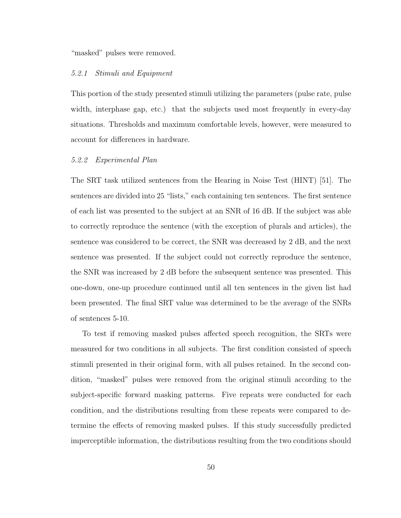"masked" pulses were removed.

### 5.2.1 Stimuli and Equipment

This portion of the study presented stimuli utilizing the parameters (pulse rate, pulse width, interphase gap, etc.) that the subjects used most frequently in every-day situations. Thresholds and maximum comfortable levels, however, were measured to account for differences in hardware.

#### 5.2.2 Experimental Plan

The SRT task utilized sentences from the Hearing in Noise Test (HINT) [\[51\]](#page-76-2). The sentences are divided into 25 "lists," each containing ten sentences. The first sentence of each list was presented to the subject at an SNR of 16 dB. If the subject was able to correctly reproduce the sentence (with the exception of plurals and articles), the sentence was considered to be correct, the SNR was decreased by 2 dB, and the next sentence was presented. If the subject could not correctly reproduce the sentence, the SNR was increased by 2 dB before the subsequent sentence was presented. This one-down, one-up procedure continued until all ten sentences in the given list had been presented. The final SRT value was determined to be the average of the SNRs of sentences 5-10.

To test if removing masked pulses affected speech recognition, the SRTs were measured for two conditions in all subjects. The first condition consisted of speech stimuli presented in their original form, with all pulses retained. In the second condition, "masked" pulses were removed from the original stimuli according to the subject-specific forward masking patterns. Five repeats were conducted for each condition, and the distributions resulting from these repeats were compared to determine the effects of removing masked pulses. If this study successfully predicted imperceptible information, the distributions resulting from the two conditions should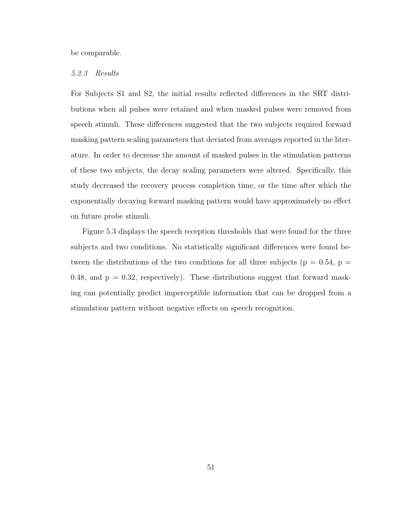be comparable.

### 5.2.3 Results

For Subjects S1 and S2, the initial results reflected differences in the SRT distributions when all pulses were retained and when masked pulses were removed from speech stimuli. These differences suggested that the two subjects required forward masking pattern scaling parameters that deviated from averages reported in the literature. In order to decrease the amount of masked pulses in the stimulation patterns of these two subjects, the decay scaling parameters were altered. Specifically, this study decreased the recovery process completion time, or the time after which the exponentially decaying forward masking pattern would have approximately no effect on future probe stimuli.

Figure [5.3](#page-62-0) displays the speech reception thresholds that were found for the three subjects and two conditions. No statistically significant differences were found between the distributions of the two conditions for all three subjects ( $p = 0.54$ ,  $p =$ 0.48, and  $p = 0.32$ , respectively). These distributions suggest that forward masking can potentially predict imperceptible information that can be dropped from a stimulation pattern without negative effects on speech recognition.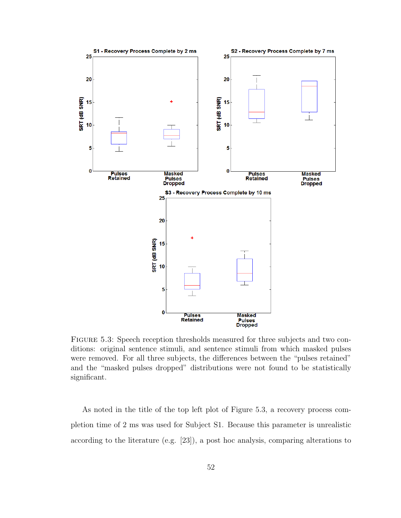

<span id="page-62-0"></span>Figure 5.3: Speech reception thresholds measured for three subjects and two conditions: original sentence stimuli, and sentence stimuli from which masked pulses were removed. For all three subjects, the differences between the "pulses retained" and the "masked pulses dropped" distributions were not found to be statistically significant.

As noted in the title of the top left plot of Figure [5.3,](#page-62-0) a recovery process completion time of 2 ms was used for Subject S1. Because this parameter is unrealistic according to the literature (e.g. [\[23\]](#page-73-0)), a post hoc analysis, comparing alterations to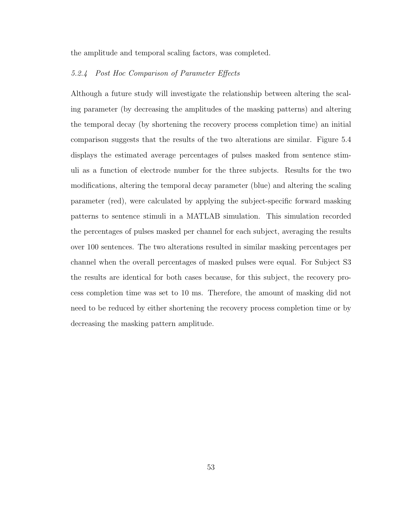the amplitude and temporal scaling factors, was completed.

## 5.2.4 Post Hoc Comparison of Parameter Effects

Although a future study will investigate the relationship between altering the scaling parameter (by decreasing the amplitudes of the masking patterns) and altering the temporal decay (by shortening the recovery process completion time) an initial comparison suggests that the results of the two alterations are similar. Figure [5.4](#page-64-0) displays the estimated average percentages of pulses masked from sentence stimuli as a function of electrode number for the three subjects. Results for the two modifications, altering the temporal decay parameter (blue) and altering the scaling parameter (red), were calculated by applying the subject-specific forward masking patterns to sentence stimuli in a MATLAB simulation. This simulation recorded the percentages of pulses masked per channel for each subject, averaging the results over 100 sentences. The two alterations resulted in similar masking percentages per channel when the overall percentages of masked pulses were equal. For Subject S3 the results are identical for both cases because, for this subject, the recovery process completion time was set to 10 ms. Therefore, the amount of masking did not need to be reduced by either shortening the recovery process completion time or by decreasing the masking pattern amplitude.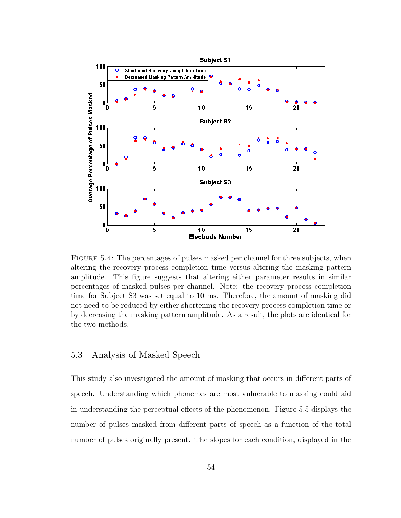

<span id="page-64-0"></span>FIGURE 5.4: The percentages of pulses masked per channel for three subjects, when altering the recovery process completion time versus altering the masking pattern amplitude. This figure suggests that altering either parameter results in similar percentages of masked pulses per channel. Note: the recovery process completion time for Subject S3 was set equal to 10 ms. Therefore, the amount of masking did not need to be reduced by either shortening the recovery process completion time or by decreasing the masking pattern amplitude. As a result, the plots are identical for the two methods.

## 5.3 Analysis of Masked Speech

This study also investigated the amount of masking that occurs in different parts of speech. Understanding which phonemes are most vulnerable to masking could aid in understanding the perceptual effects of the phenomenon. Figure [5.5](#page-65-0) displays the number of pulses masked from different parts of speech as a function of the total number of pulses originally present. The slopes for each condition, displayed in the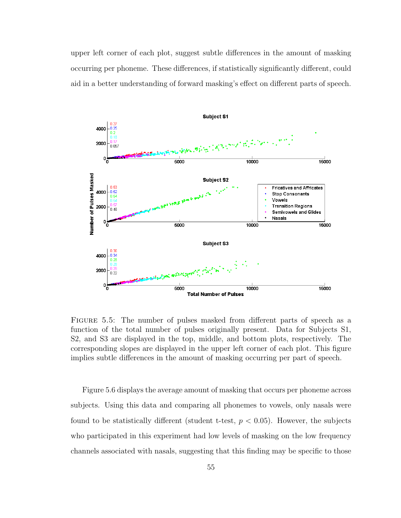upper left corner of each plot, suggest subtle differences in the amount of masking occurring per phoneme. These differences, if statistically significantly different, could aid in a better understanding of forward masking's effect on different parts of speech.



<span id="page-65-0"></span>Figure 5.5: The number of pulses masked from different parts of speech as a function of the total number of pulses originally present. Data for Subjects S1, S2, and S3 are displayed in the top, middle, and bottom plots, respectively. The corresponding slopes are displayed in the upper left corner of each plot. This figure implies subtle differences in the amount of masking occurring per part of speech.

Figure [5.6](#page-66-0) displays the average amount of masking that occurs per phoneme across subjects. Using this data and comparing all phonemes to vowels, only nasals were found to be statistically different (student t-test,  $p < 0.05$ ). However, the subjects who participated in this experiment had low levels of masking on the low frequency channels associated with nasals, suggesting that this finding may be specific to those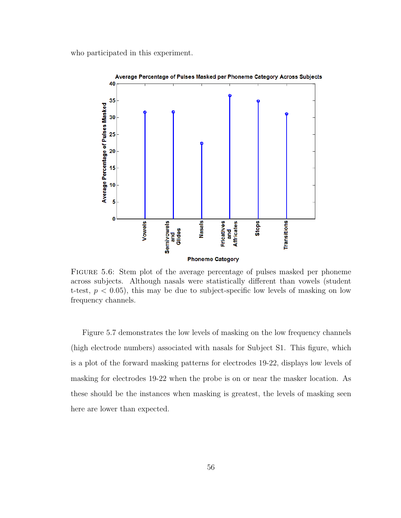who participated in this experiment.



<span id="page-66-0"></span>Figure 5.6: Stem plot of the average percentage of pulses masked per phoneme across subjects. Although nasals were statistically different than vowels (student t-test,  $p < 0.05$ ), this may be due to subject-specific low levels of masking on low frequency channels.

Figure [5.7](#page-67-0) demonstrates the low levels of masking on the low frequency channels (high electrode numbers) associated with nasals for Subject S1. This figure, which is a plot of the forward masking patterns for electrodes 19-22, displays low levels of masking for electrodes 19-22 when the probe is on or near the masker location. As these should be the instances when masking is greatest, the levels of masking seen here are lower than expected.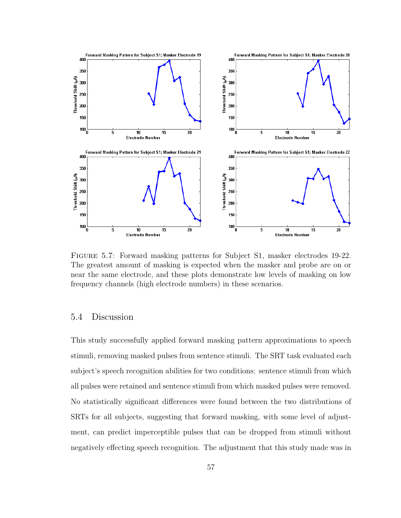

<span id="page-67-0"></span>Figure 5.7: Forward masking patterns for Subject S1, masker electrodes 19-22. The greatest amount of masking is expected when the masker and probe are on or near the same electrode, and these plots demonstrate low levels of masking on low frequency channels (high electrode numbers) in these scenarios.

## 5.4 Discussion

This study successfully applied forward masking pattern approximations to speech stimuli, removing masked pulses from sentence stimuli. The SRT task evaluated each subject's speech recognition abilities for two conditions: sentence stimuli from which all pulses were retained and sentence stimuli from which masked pulses were removed. No statistically significant differences were found between the two distributions of SRTs for all subjects, suggesting that forward masking, with some level of adjustment, can predict imperceptible pulses that can be dropped from stimuli without negatively effecting speech recognition. The adjustment that this study made was in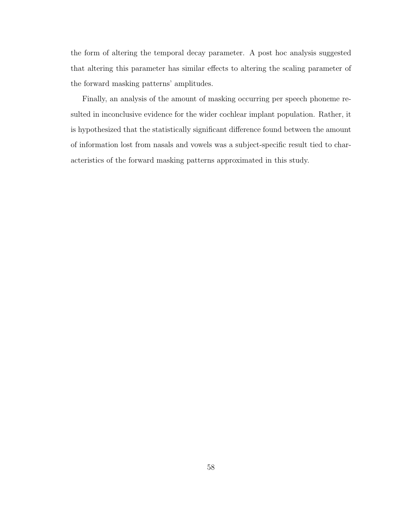the form of altering the temporal decay parameter. A post hoc analysis suggested that altering this parameter has similar effects to altering the scaling parameter of the forward masking patterns' amplitudes.

Finally, an analysis of the amount of masking occurring per speech phoneme resulted in inconclusive evidence for the wider cochlear implant population. Rather, it is hypothesized that the statistically significant difference found between the amount of information lost from nasals and vowels was a subject-specific result tied to characteristics of the forward masking patterns approximated in this study.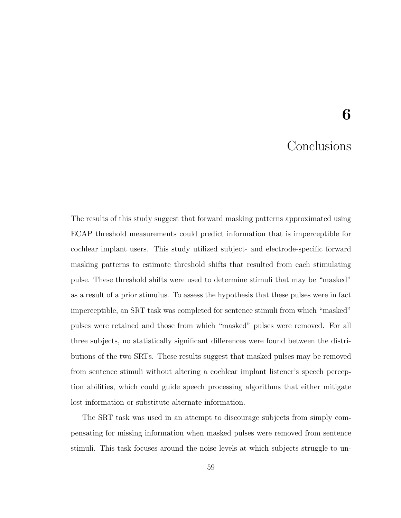# 6

## **Conclusions**

The results of this study suggest that forward masking patterns approximated using ECAP threshold measurements could predict information that is imperceptible for cochlear implant users. This study utilized subject- and electrode-specific forward masking patterns to estimate threshold shifts that resulted from each stimulating pulse. These threshold shifts were used to determine stimuli that may be "masked" as a result of a prior stimulus. To assess the hypothesis that these pulses were in fact imperceptible, an SRT task was completed for sentence stimuli from which "masked" pulses were retained and those from which "masked" pulses were removed. For all three subjects, no statistically significant differences were found between the distributions of the two SRTs. These results suggest that masked pulses may be removed from sentence stimuli without altering a cochlear implant listener's speech perception abilities, which could guide speech processing algorithms that either mitigate lost information or substitute alternate information.

The SRT task was used in an attempt to discourage subjects from simply compensating for missing information when masked pulses were removed from sentence stimuli. This task focuses around the noise levels at which subjects struggle to un-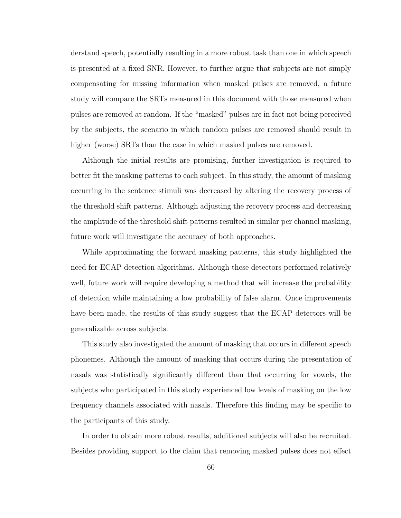derstand speech, potentially resulting in a more robust task than one in which speech is presented at a fixed SNR. However, to further argue that subjects are not simply compensating for missing information when masked pulses are removed, a future study will compare the SRTs measured in this document with those measured when pulses are removed at random. If the "masked" pulses are in fact not being perceived by the subjects, the scenario in which random pulses are removed should result in higher (worse) SRTs than the case in which masked pulses are removed.

Although the initial results are promising, further investigation is required to better fit the masking patterns to each subject. In this study, the amount of masking occurring in the sentence stimuli was decreased by altering the recovery process of the threshold shift patterns. Although adjusting the recovery process and decreasing the amplitude of the threshold shift patterns resulted in similar per channel masking, future work will investigate the accuracy of both approaches.

While approximating the forward masking patterns, this study highlighted the need for ECAP detection algorithms. Although these detectors performed relatively well, future work will require developing a method that will increase the probability of detection while maintaining a low probability of false alarm. Once improvements have been made, the results of this study suggest that the ECAP detectors will be generalizable across subjects.

This study also investigated the amount of masking that occurs in different speech phonemes. Although the amount of masking that occurs during the presentation of nasals was statistically significantly different than that occurring for vowels, the subjects who participated in this study experienced low levels of masking on the low frequency channels associated with nasals. Therefore this finding may be specific to the participants of this study.

In order to obtain more robust results, additional subjects will also be recruited. Besides providing support to the claim that removing masked pulses does not effect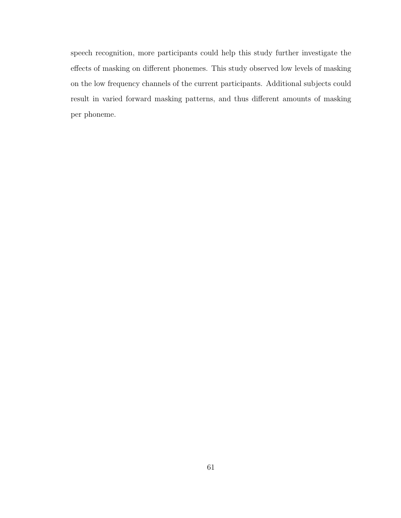speech recognition, more participants could help this study further investigate the effects of masking on different phonemes. This study observed low levels of masking on the low frequency channels of the current participants. Additional subjects could result in varied forward masking patterns, and thus different amounts of masking per phoneme.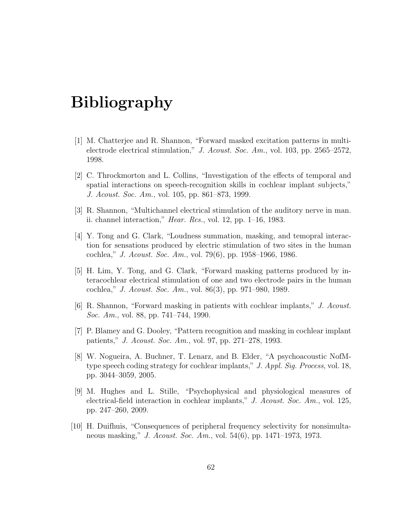## Bibliography

- [1] M. Chatterjee and R. Shannon, "Forward masked excitation patterns in multielectrode electrical stimulation," J. Acoust. Soc. Am., vol. 103, pp. 2565–2572, 1998.
- [2] C. Throckmorton and L. Collins, "Investigation of the effects of temporal and spatial interactions on speech-recognition skills in cochlear implant subjects," J. Acoust. Soc. Am., vol. 105, pp. 861–873, 1999.
- [3] R. Shannon, "Multichannel electrical stimulation of the auditory nerve in man. ii. channel interaction," *Hear. Res.*, vol. 12, pp.  $1-16$ , 1983.
- [4] Y. Tong and G. Clark, "Loudness summation, masking, and temopral interaction for sensations produced by electric stimulation of two sites in the human cochlea," J. Acoust. Soc. Am., vol. 79(6), pp. 1958–1966, 1986.
- [5] H. Lim, Y. Tong, and G. Clark, "Forward masking patterns produced by interacochlear electrical stimulation of one and two electrode pairs in the human cochlea," J. Acoust. Soc. Am., vol. 86(3), pp. 971–980, 1989.
- [6] R. Shannon, "Forward masking in patients with cochlear implants," J. Acoust. Soc. Am., vol. 88, pp. 741–744, 1990.
- [7] P. Blamey and G. Dooley, "Pattern recognition and masking in cochlear implant patients," J. Acoust. Soc. Am., vol. 97, pp. 271–278, 1993.
- [8] W. Nogueira, A. Buchner, T. Lenarz, and B. Elder, "A psychoacoustic NofMtype speech coding strategy for cochlear implants," J. Appl. Sig. Process, vol. 18, pp. 3044–3059, 2005.
- [9] M. Hughes and L. Stille, "Psychophysical and physiological measures of electrical-field interaction in cochlear implants," J. Acoust. Soc. Am., vol. 125, pp. 247–260, 2009.
- [10] H. Duifhuis, "Consequences of peripheral frequency selectivity for nonsimultaneous masking," J. Acoust. Soc. Am., vol. 54(6), pp. 1471–1973, 1973.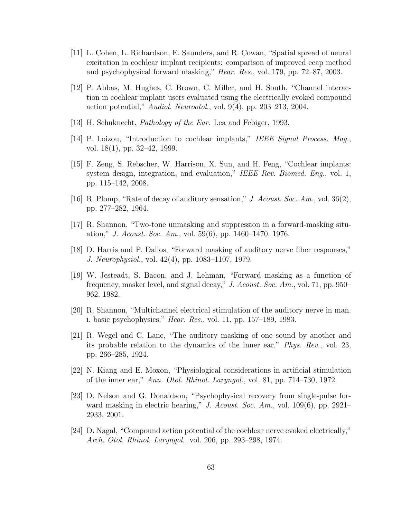- [11] L. Cohen, L. Richardson, E. Saunders, and R. Cowan, "Spatial spread of neural excitation in cochlear implant recipients: comparison of improved ecap method and psychophysical forward masking," Hear. Res., vol. 179, pp. 72–87, 2003.
- [12] P. Abbas, M. Hughes, C. Brown, C. Miller, and H. South, "Channel interaction in cochlear implant users evaluated using the electrically evoked compound action potential," Audiol. Neurootol., vol. 9(4), pp. 203–213, 2004.
- [13] H. Schuknecht, *Pathology of the Ear*. Lea and Febiger, 1993.
- [14] P. Loizou, "Introduction to cochlear implants," IEEE Signal Process. Mag., vol. 18(1), pp. 32–42, 1999.
- [15] F. Zeng, S. Rebscher, W. Harrison, X. Sun, and H. Feng, "Cochlear implants: system design, integration, and evaluation," IEEE Rev. Biomed. Eng., vol. 1, pp. 115–142, 2008.
- [16] R. Plomp, "Rate of decay of auditory sensation," J. Acoust. Soc. Am., vol. 36(2), pp. 277–282, 1964.
- [17] R. Shannon, "Two-tone unmasking and suppression in a forward-masking situation," J. Acoust. Soc. Am., vol. 59(6), pp. 1460–1470, 1976.
- [18] D. Harris and P. Dallos, "Forward masking of auditory nerve fiber responses," J. Neurophysiol., vol. 42(4), pp. 1083–1107, 1979.
- [19] W. Jesteadt, S. Bacon, and J. Lehman, "Forward masking as a function of frequency, masker level, and signal decay," J. Acoust. Soc. Am., vol. 71, pp. 950– 962, 1982.
- [20] R. Shannon, "Multichannel electrical stimulation of the auditory nerve in man. i. basic psychophysics," Hear. Res., vol. 11, pp. 157–189, 1983.
- [21] R. Wegel and C. Lane, "The auditory masking of one sound by another and its probable relation to the dynamics of the inner ear," Phys. Rev., vol. 23, pp. 266–285, 1924.
- [22] N. Kiang and E. Moxon, "Physiological considerations in artificial stimulation of the inner ear," Ann. Otol. Rhinol. Laryngol., vol. 81, pp. 714–730, 1972.
- [23] D. Nelson and G. Donaldson, "Psychophysical recovery from single-pulse forward masking in electric hearing," J. Acoust. Soc. Am., vol. 109(6), pp. 2921– 2933, 2001.
- [24] D. Nagal, "Compound action potential of the cochlear nerve evoked electrically," Arch. Otol. Rhinol. Laryngol., vol. 206, pp. 293–298, 1974.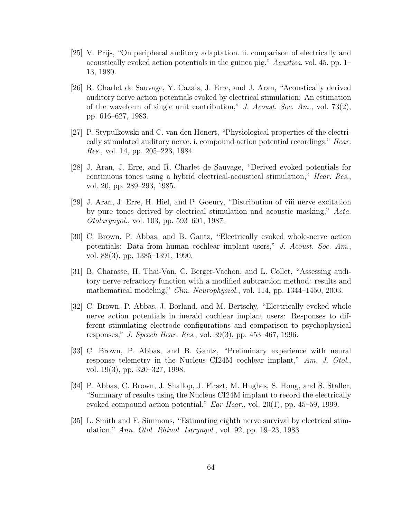- [25] V. Prijs, "On peripheral auditory adaptation. ii. comparison of electrically and acoustically evoked action potentials in the guinea pig," Acustica, vol. 45, pp. 1– 13, 1980.
- [26] R. Charlet de Sauvage, Y. Cazals, J. Erre, and J. Aran, "Acoustically derived auditory nerve action potentials evoked by electrical stimulation: An estimation of the waveform of single unit contribution," J. Acoust. Soc. Am., vol. 73 $(2)$ , pp. 616–627, 1983.
- [27] P. Stypulkowski and C. van den Honert, "Physiological properties of the electrically stimulated auditory nerve. i. compound action potential recordings," Hear. Res., vol. 14, pp. 205–223, 1984.
- [28] J. Aran, J. Erre, and R. Charlet de Sauvage, "Derived evoked potentials for continuous tones using a hybrid electrical-acoustical stimulation," Hear. Res., vol. 20, pp. 289–293, 1985.
- [29] J. Aran, J. Erre, H. Hiel, and P. Goeury, "Distribution of viii nerve excitation by pure tones derived by electrical stimulation and acoustic masking," Acta. Otolaryngol., vol. 103, pp. 593–601, 1987.
- [30] C. Brown, P. Abbas, and B. Gantz, "Electrically evoked whole-nerve action potentials: Data from human cochlear implant users," J. Acoust. Soc. Am., vol. 88(3), pp. 1385–1391, 1990.
- [31] B. Charasse, H. Thai-Van, C. Berger-Vachon, and L. Collet, "Assessing auditory nerve refractory function with a modified subtraction method: results and mathematical modeling," Clin. Neurophysiol., vol. 114, pp. 1344–1450, 2003.
- [32] C. Brown, P. Abbas, J. Borland, and M. Bertschy, "Electrically evoked whole nerve action potentials in ineraid cochlear implant users: Responses to different stimulating electrode configurations and comparison to psychophysical responses," J. Speech Hear. Res., vol. 39(3), pp. 453–467, 1996.
- [33] C. Brown, P. Abbas, and B. Gantz, "Preliminary experience with neural response telemetry in the Nucleus CI24M cochlear implant," Am. J. Otol., vol. 19(3), pp. 320–327, 1998.
- [34] P. Abbas, C. Brown, J. Shallop, J. Firszt, M. Hughes, S. Hong, and S. Staller, "Summary of results using the Nucleus CI24M implant to record the electrically evoked compound action potential," Ear Hear., vol. 20(1), pp. 45–59, 1999.
- [35] L. Smith and F. Simmons, "Estimating eighth nerve survival by electrical stimulation," Ann. Otol. Rhinol. Laryngol., vol. 92, pp. 19–23, 1983.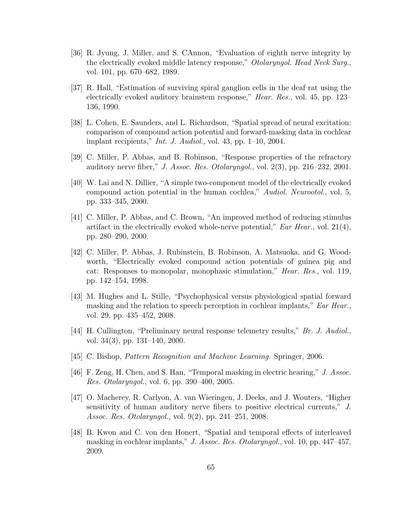- [36] R. Jyung, J. Miller, and S. CAnnon, "Evaluation of eighth nerve integrity by the electrically evoked middle latency response," Otolaryngol. Head Neck Surg., vol. 101, pp. 670–682, 1989.
- [37] R. Hall, "Estimation of surviving spiral ganglion cells in the deaf rat using the electrically evoked auditory brainstem response," Hear. Res., vol. 45, pp. 123– 136, 1990.
- [38] L. Cohen, E. Saunders, and L. Richardson, "Spatial spread of neural excitation: comparison of compound action potential and forward-masking data in cochlear implant recipients," *Int. J. Audiol.*, vol. 43, pp. 1–10, 2004.
- [39] C. Miller, P. Abbas, and B. Robinson, "Response properties of the refractory auditory nerve fiber," J. Assoc. Res. Otolaryngol., vol.  $2(3)$ , pp.  $216-232$ ,  $2001$ .
- [40] W. Lai and N. Dillier, "A simple two-component model of the electrically evoked compound action potential in the human cochlea," Audiol. Neurootol., vol. 5, pp. 333–345, 2000.
- [41] C. Miller, P. Abbas, and C. Brown, "An improved method of reducing stimulus artifact in the electrically evoked whole-nerve potential,"  $Ear$  Hear., vol. 21(4), pp. 280–290, 2000.
- [42] C. Miller, P. Abbas, J. Rubinstein, B. Robinson, A. Matsuoka, and G. Woodworth, "Electrically evoked compound action potentials of guinea pig and cat: Responses to monopolar, monophasic stimulation," Hear. Res., vol. 119, pp. 142–154, 1998.
- [43] M. Hughes and L. Stille, "Psychophysical versus physiological spatial forward masking and the relation to speech perception in cochlear implants," Ear Hear., vol. 29, pp. 435–452, 2008.
- [44] H. Cullington, "Preliminary neural response telemetry results," Br. J. Audiol., vol. 34(3), pp. 131–140, 2000.
- [45] C. Bishop, Pattern Recognition and Machine Learning. Springer, 2006.
- [46] F. Zeng, H. Chen, and S. Han, "Temporal masking in electric hearing," J. Assoc. Res. Otolaryngol., vol. 6, pp. 390–400, 2005.
- [47] O. Macherey, R. Carlyon, A. van Wieringen, J. Deeks, and J. Wouters, "Higher sensitivity of human auditory nerve fibers to positive electrical currents," J. Assoc. Res. Otolaryngol., vol. 9(2), pp. 241–251, 2008.
- [48] B. Kwon and C. von den Honert, "Spatial and temporal effects of interleaved masking in cochlear implants," J. Assoc. Res. Otolaryngol., vol. 10, pp. 447–457, 2009.